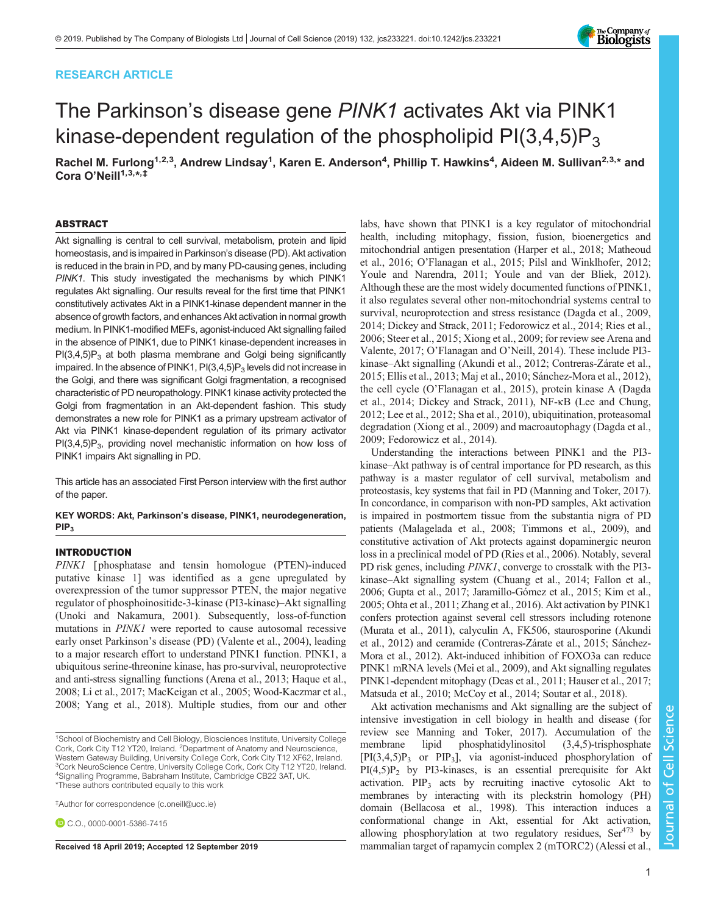# RESEARCH ARTICLE

# The Parkinson's disease gene PINK1 activates Akt via PINK1 kinase-dependent regulation of the phospholipid  $PI(3,4,5)P_3$

Rachel M. Furlong<sup>1,2,3</sup>, Andrew Lindsay<sup>1</sup>, Karen E. Anderson<sup>4</sup>, Phillip T. Hawkins<sup>4</sup>, Aideen M. Sullivan<sup>2,3,</sup>\* and Cora O'Neill<sup>1,3,\*,‡</sup>

#### ABSTRACT

Akt signalling is central to cell survival, metabolism, protein and lipid homeostasis, and is impaired in Parkinson's disease (PD). Akt activation is reduced in the brain in PD, and by many PD-causing genes, including PINK1. This study investigated the mechanisms by which PINK1 regulates Akt signalling. Our results reveal for the first time that PINK1 constitutively activates Akt in a PINK1-kinase dependent manner in the absence of growth factors, and enhances Akt activation in normal growth medium. In PINK1-modified MEFs, agonist-induced Akt signalling failed in the absence of PINK1, due to PINK1 kinase-dependent increases in  $PI(3,4,5)P_3$  at both plasma membrane and Golgi being significantly impaired. In the absence of PINK1,  $PI(3,4,5)P_3$  levels did not increase in the Golgi, and there was significant Golgi fragmentation, a recognised characteristic of PD neuropathology. PINK1 kinase activity protected the Golgi from fragmentation in an Akt-dependent fashion. This study demonstrates a new role for PINK1 as a primary upstream activator of Akt via PINK1 kinase-dependent regulation of its primary activator  $PI(3,4,5)P_3$ , providing novel mechanistic information on how loss of PINK1 impairs Akt signalling in PD.

[This article has an associated First Person interview with the first author](http://dx.doi.org/10.1242/jcs.239962) [of the paper](http://dx.doi.org/10.1242/jcs.239962).

KEY WORDS: Akt, Parkinson's disease, PINK1, neurodegeneration, PIP<sub>3</sub>

# INTRODUCTION

PINK1 [ phosphatase and tensin homologue (PTEN)-induced putative kinase 1] was identified as a gene upregulated by overexpression of the tumor suppressor PTEN, the major negative regulator of phosphoinositide-3-kinase (PI3-kinase)–Akt signalling [\(Unoki and Nakamura, 2001](#page-15-0)). Subsequently, loss-of-function mutations in PINK1 were reported to cause autosomal recessive early onset Parkinson's disease (PD) [\(Valente et al., 2004](#page-15-0)), leading to a major research effort to understand PINK1 function. PINK1, a ubiquitous serine-threonine kinase, has pro-survival, neuroprotective and anti-stress signalling functions ([Arena et al., 2013;](#page-12-0) [Haque et al.,](#page-13-0) [2008;](#page-13-0) [Li et al., 2017](#page-14-0); [MacKeigan et al., 2005](#page-14-0); [Wood-Kaczmar et al.,](#page-15-0) [2008; Yang et al., 2018\)](#page-15-0). Multiple studies, from our and other

‡ Author for correspondence ([c.oneill@ucc.ie\)](mailto:c.oneill@ucc.ie)

C.O., [0000-0001-5386-7415](http://orcid.org/0000-0001-5386-7415)

labs, have shown that PINK1 is a key regulator of mitochondrial health, including mitophagy, fission, fusion, bioenergetics and mitochondrial antigen presentation [\(Harper et al., 2018;](#page-13-0) [Matheoud](#page-14-0) [et al., 2016](#page-14-0); O'[Flanagan et al., 2015; Pilsl and Winklhofer, 2012](#page-14-0); [Youle and Narendra, 2011; Youle and van der Bliek, 2012\)](#page-15-0). Although these are the most widely documented functions of PINK1, it also regulates several other non-mitochondrial systems central to survival, neuroprotection and stress resistance [\(Dagda et al., 2009,](#page-13-0) [2014; Dickey and Strack, 2011; Fedorowicz et al., 2014;](#page-13-0) [Ries et al.,](#page-14-0) [2006; Steer et al., 2015](#page-14-0); [Xiong et al., 2009;](#page-15-0) for review see [Arena and](#page-12-0) [Valente, 2017;](#page-12-0) O'[Flanagan and O](#page-14-0)'Neill, 2014). These include PI3 kinase–Akt signalling [\(Akundi et al., 2012](#page-12-0); [Contreras-Zárate et al.,](#page-13-0) [2015; Ellis et al., 2013;](#page-13-0) [Maj et al., 2010; Sánchez-Mora et al., 2012\)](#page-14-0), the cell cycle (O'[Flanagan et al., 2015\)](#page-14-0), protein kinase A [\(Dagda](#page-13-0) [et al., 2014](#page-13-0); [Dickey and Strack, 2011\)](#page-13-0), NF-κB [\(Lee and Chung,](#page-13-0) [2012; Lee et al., 2012](#page-13-0); [Sha et al., 2010\)](#page-14-0), ubiquitination, proteasomal degradation [\(Xiong et al., 2009](#page-15-0)) and macroautophagy ([Dagda et al.,](#page-13-0) [2009; Fedorowicz et al., 2014](#page-13-0)).

Understanding the interactions between PINK1 and the PI3 kinase–Akt pathway is of central importance for PD research, as this pathway is a master regulator of cell survival, metabolism and proteostasis, key systems that fail in PD [\(Manning and Toker, 2017\)](#page-14-0). In concordance, in comparison with non-PD samples, Akt activation is impaired in postmortem tissue from the substantia nigra of PD patients ([Malagelada et al., 2008;](#page-14-0) [Timmons et al., 2009\)](#page-15-0), and constitutive activation of Akt protects against dopaminergic neuron loss in a preclinical model of PD [\(Ries et al., 2006\)](#page-14-0). Notably, several PD risk genes, including PINK1, converge to crosstalk with the PI3 kinase–Akt signalling system ([Chuang et al., 2014](#page-13-0); [Fallon et al.,](#page-13-0) [2006; Gupta et al., 2017; Jaramillo-Gómez et al., 2015](#page-13-0); [Kim et al.,](#page-13-0) [2005;](#page-13-0) [Ohta et al., 2011](#page-14-0); [Zhang et al., 2016\)](#page-15-0). Akt activation by PINK1 confers protection against several cell stressors including rotenone [\(Murata et al., 2011\)](#page-14-0), calyculin A, FK506, staurosporine [\(Akundi](#page-12-0) [et al., 2012\)](#page-12-0) and ceramide [\(Contreras-Zárate et al., 2015](#page-13-0); [Sánchez-](#page-14-0)[Mora et al., 2012](#page-14-0)). Akt-induced inhibition of FOXO3a can reduce PINK1 mRNA levels [\(Mei et al., 2009\)](#page-14-0), and Akt signalling regulates PINK1-dependent mitophagy [\(Deas et al., 2011; Hauser et al., 2017](#page-13-0); [Matsuda et al., 2010; McCoy et al., 2014; Soutar et al., 2018](#page-14-0)).

Akt activation mechanisms and Akt signalling are the subject of intensive investigation in cell biology in health and disease (for review see Manning and Toker, 2017). Accumulation of the membrane lipid phosphatidylinositol (3,4,5)-trisphosphate  $[PI(3,4,5)P_3$  or  $PIP_3$ ], via agonist-induced phosphorylation of  $PI(4,5)P_2$  by PI3-kinases, is an essential prerequisite for Akt activation.  $PIP_3$  acts by recruiting inactive cytosolic Akt to membranes by interacting with its pleckstrin homology (PH) domain ([Bellacosa et al., 1998\)](#page-12-0). This interaction induces a conformational change in Akt, essential for Akt activation, allowing phosphorylation at two regulatory residues, Ser473 by Received 18 April 2019; Accepted 12 September 2019 mammalian target of rapamycin complex 2 (mTORC2) [\(Alessi et al.,](#page-12-0)

Journal of Cell Science

Journal

 $\overline{\overline{6}}$  $\overline{\circ}$ 

Science



<sup>&</sup>lt;sup>1</sup>School of Biochemistry and Cell Biology, Biosciences Institute, University College Cork, Cork City T12 YT20, Ireland. <sup>2</sup>Department of Anatomy and Neuroscience, Western Gateway Building, University College Cork, Cork City T12 XF62, Ireland. <sup>3</sup>Cork NeuroScience Centre, University College Cork, Cork City T12 YT20, Ireland. 4 Signalling Programme, Babraham Institute, Cambridge CB22 3AT, UK. \*These authors contributed equally to this work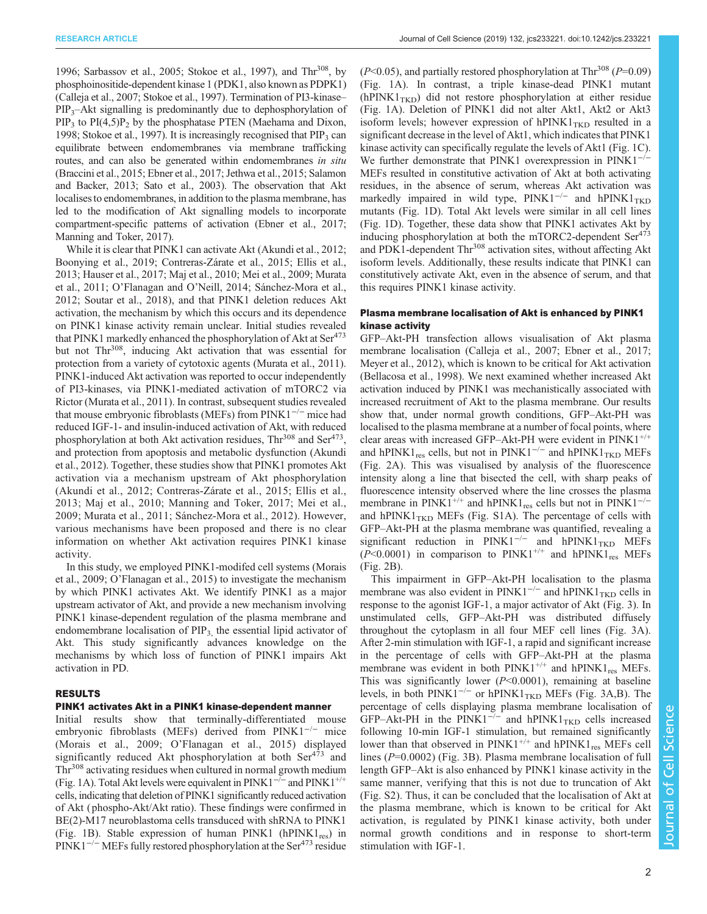[1996;](#page-12-0) [Sarbassov et al., 2005;](#page-14-0) [Stokoe et al., 1997](#page-15-0)), and Thr<sup>308</sup>, by phosphoinositide-dependent kinase 1 (PDK1, also known as PDPK1) [\(Calleja et al., 2007](#page-12-0); [Stokoe et al., 1997](#page-15-0)). Termination of PI3-kinase–  $PIP_3$ –Akt signalling is predominantly due to dephosphorylation of  $PIP_3$  to  $PI(4,5)P_2$  by the phosphatase PTEN ([Maehama and Dixon,](#page-14-0) [1998;](#page-14-0) [Stokoe et al., 1997\)](#page-15-0). It is increasingly recognised that  $PIP<sub>3</sub>$  can equilibrate between endomembranes via membrane trafficking routes, and can also be generated within endomembranes in situ [\(Braccini et al., 2015;](#page-12-0) [Ebner et al., 2017; Jethwa et al., 2015](#page-13-0); [Salamon](#page-14-0) [and Backer, 2013](#page-14-0); [Sato et al., 2003](#page-14-0)). The observation that Akt localises to endomembranes, in addition to the plasma membrane, has led to the modification of Akt signalling models to incorporate compartment-specific patterns of activation ([Ebner et al., 2017](#page-13-0); [Manning and Toker, 2017](#page-14-0)).

While it is clear that PINK1 can activate Akt [\(Akundi et al., 2012](#page-12-0); [Boonying et al., 2019;](#page-12-0) [Contreras-Zárate et al., 2015; Ellis et al.,](#page-13-0) [2013](#page-13-0); [Hauser et al., 2017;](#page-13-0) [Maj et al., 2010](#page-14-0); [Mei et al., 2009; Murata](#page-14-0) [et al., 2011;](#page-14-0) O'[Flanagan and O](#page-14-0)'Neill, 2014; [Sánchez-Mora et al.,](#page-14-0) [2012](#page-14-0); [Soutar et al., 2018\)](#page-14-0), and that PINK1 deletion reduces Akt activation, the mechanism by which this occurs and its dependence on PINK1 kinase activity remain unclear. Initial studies revealed that PINK1 markedly enhanced the phosphorylation of Akt at Ser<sup>473</sup> but not Thr<sup>308</sup>, inducing Akt activation that was essential for protection from a variety of cytotoxic agents ([Murata et al., 2011\)](#page-14-0). PINK1-induced Akt activation was reported to occur independently of PI3-kinases, via PINK1-mediated activation of mTORC2 via Rictor [\(Murata et al., 2011](#page-14-0)). In contrast, subsequent studies revealed that mouse embryonic fibroblasts (MEFs) from PINK1−/<sup>−</sup> mice had reduced IGF-1- and insulin-induced activation of Akt, with reduced phosphorylation at both Akt activation residues,  $\text{Thr}^{308}$  and  $\text{Ser}^{473}$ , and protection from apoptosis and metabolic dysfunction ([Akundi](#page-12-0) [et al., 2012\)](#page-12-0). Together, these studies show that PINK1 promotes Akt activation via a mechanism upstream of Akt phosphorylation [\(Akundi et al., 2012;](#page-12-0) [Contreras-Zárate et al., 2015; Ellis et al.,](#page-13-0) [2013;](#page-13-0) [Maj et al., 2010; Manning and](#page-14-0) Toker, 2017; [Mei et al.,](#page-14-0) [2009; Murata et al., 2011; Sánchez-Mora et al., 2012](#page-14-0)). However, various mechanisms have been proposed and there is no clear information on whether Akt activation requires PINK1 kinase activity.

In this study, we employed PINK1-modifed cell systems ([Morais](#page-14-0) [et al., 2009](#page-14-0); O'[Flanagan et al., 2015\)](#page-14-0) to investigate the mechanism by which PINK1 activates Akt. We identify PINK1 as a major upstream activator of Akt, and provide a new mechanism involving PINK1 kinase-dependent regulation of the plasma membrane and endomembrane localisation of  $PIP<sub>3</sub>$ , the essential lipid activator of Akt. This study significantly advances knowledge on the mechanisms by which loss of function of PINK1 impairs Akt activation in PD.

#### RESULTS

## PINK1 activates Akt in a PINK1 kinase-dependent manner

Initial results show that terminally-differentiated mouse embryonic fibroblasts (MEFs) derived from PINK1−/<sup>−</sup> mice [\(Morais et al., 2009](#page-14-0); O'[Flanagan et al., 2015](#page-14-0)) displayed significantly reduced Akt phosphorylation at both Ser<sup>473</sup> and Thr<sup>308</sup> activating residues when cultured in normal growth medium [\(Fig. 1A](#page-3-0)). Total Akt levels were equivalent in PINK1<sup> $-/-$ </sup> and PINK1<sup> $+/+$ </sup> cells, indicating that deletion of PINK1 significantly reduced activation of Akt ( phospho-Akt/Akt ratio). These findings were confirmed in BE(2)-M17 neuroblastoma cells transduced with shRNA to PINK1 [\(Fig. 1B](#page-3-0)). Stable expression of human PINK1 (hPINK1<sub>res</sub>) in PINK1<sup>-/-</sup> MEFs fully restored phosphorylation at the Ser<sup>473</sup> residue

 $(P<0.05)$ , and partially restored phosphorylation at Thr<sup>308</sup> (P=0.09) [\(Fig. 1A](#page-3-0)). In contrast, a triple kinase-dead PINK1 mutant  $(hPINK1_{TKD})$  did not restore phosphorylation at either residue [\(Fig. 1A](#page-3-0)). Deletion of PINK1 did not alter Akt1, Akt2 or Akt3 isoform levels; however expression of  $hPINK1_{TKD}$  resulted in a significant decrease in the level of Akt1, which indicates that PINK1 kinase activity can specifically regulate the levels of Akt1 ([Fig. 1](#page-3-0)C). We further demonstrate that PINK1 overexpression in PINK1−/<sup>−</sup> MEFs resulted in constitutive activation of Akt at both activating residues, in the absence of serum, whereas Akt activation was markedly impaired in wild type, PINK1<sup>-/-</sup> and hPINK1<sub>TKD</sub> mutants ([Fig. 1D](#page-3-0)). Total Akt levels were similar in all cell lines [\(Fig. 1D](#page-3-0)). Together, these data show that PINK1 activates Akt by inducing phosphorylation at both the mTORC2-dependent  $\text{Ser}^{473}$ and PDK1-dependent Thr<sup>308</sup> activation sites, without affecting Akt isoform levels. Additionally, these results indicate that PINK1 can constitutively activate Akt, even in the absence of serum, and that this requires PINK1 kinase activity.

## Plasma membrane localisation of Akt is enhanced by PINK1 kinase activity

GFP–Akt-PH transfection allows visualisation of Akt plasma membrane localisation [\(Calleja et al., 2007;](#page-12-0) [Ebner et al., 2017](#page-13-0); [Meyer et al., 2012\)](#page-14-0), which is known to be critical for Akt activation [\(Bellacosa et al., 1998\)](#page-12-0). We next examined whether increased Akt activation induced by PINK1 was mechanistically associated with increased recruitment of Akt to the plasma membrane. Our results show that, under normal growth conditions, GFP–Akt-PH was localised to the plasma membrane at a number of focal points, where clear areas with increased GFP–Akt-PH were evident in  $PINK1^{+/+}$ and hPINK1<sub>res</sub> cells, but not in PINK1<sup>-/-</sup> and hPINK1<sub>TKD</sub> MEFs [\(Fig. 2](#page-3-0)A). This was visualised by analysis of the fluorescence intensity along a line that bisected the cell, with sharp peaks of fluorescence intensity observed where the line crosses the plasma membrane in PINK1<sup>+/+</sup> and hPINK1<sub>res</sub> cells but not in PINK1<sup>-/-</sup> and  $hPINK1_{TKD}$  MEFs ([Fig. S1A\)](http://jcs.biologists.org/lookup/doi/10.1242/jcs.233221.supplemental). The percentage of cells with GFP–Akt-PH at the plasma membrane was quantified, revealing a significant reduction in PINK1<sup>-/-</sup> and hPINK1<sub>TKD</sub> MEFs  $(P<0.0001)$  in comparison to PINK1<sup>+/+</sup> and hPINK1<sub>res</sub> MEFs [\(Fig. 2](#page-3-0)B).

This impairment in GFP–Akt-PH localisation to the plasma membrane was also evident in PINK1<sup> $-/-$ </sup> and hPINK1<sub>TKD</sub> cells in response to the agonist IGF-1, a major activator of Akt ([Fig. 3](#page-4-0)). In unstimulated cells, GFP–Akt-PH was distributed diffusely throughout the cytoplasm in all four MEF cell lines ([Fig. 3A](#page-4-0)). After 2-min stimulation with IGF-1, a rapid and significant increase in the percentage of cells with GFP–Akt-PH at the plasma membrane was evident in both  $PINK1^{+/+}$  and  $hPNKI_{res}$  MEFs. This was significantly lower  $(P<0.0001)$ , remaining at baseline levels, in both PINK1<sup>-/-</sup> or hPINK1<sub>TKD</sub> MEFs ([Fig. 3A](#page-4-0),B). The percentage of cells displaying plasma membrane localisation of GFP–Akt-PH in the PINK1<sup>-/-</sup> and hPINK1<sub>TKD</sub> cells increased following 10-min IGF-1 stimulation, but remained significantly lower than that observed in  $PINK1^{+/+}$  and  $hPINK1_{res}$  MEFs cell lines (P=0.0002) ([Fig. 3B](#page-4-0)). Plasma membrane localisation of full length GFP–Akt is also enhanced by PINK1 kinase activity in the same manner, verifying that this is not due to truncation of Akt [\(Fig. S2](http://jcs.biologists.org/lookup/doi/10.1242/jcs.233221.supplemental)). Thus, it can be concluded that the localisation of Akt at the plasma membrane, which is known to be critical for Akt activation, is regulated by PINK1 kinase activity, both under normal growth conditions and in response to short-term stimulation with IGF-1.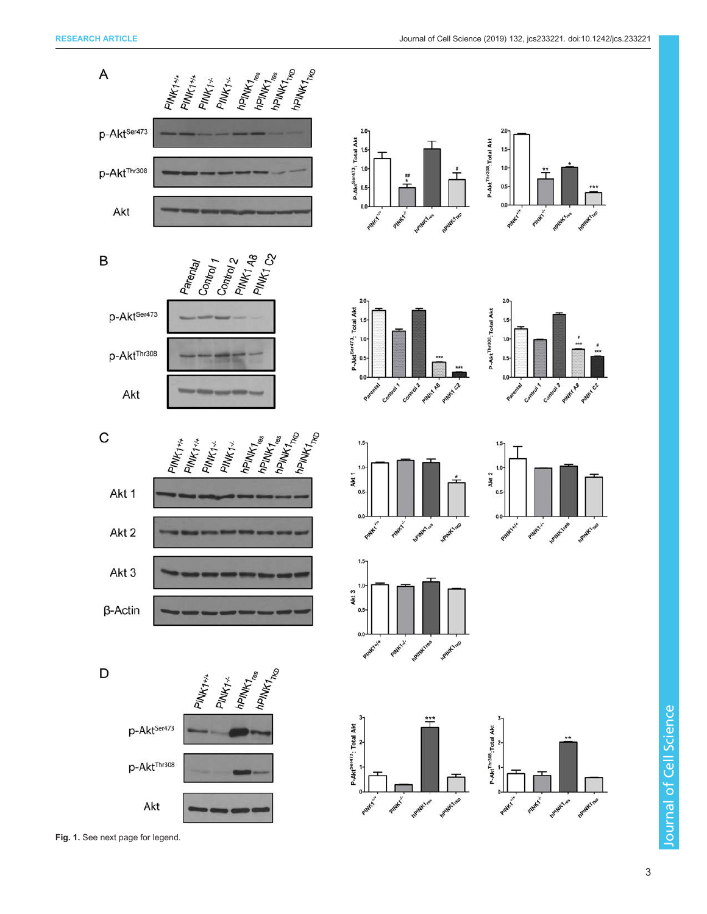

Fig. 1. See next page for legend.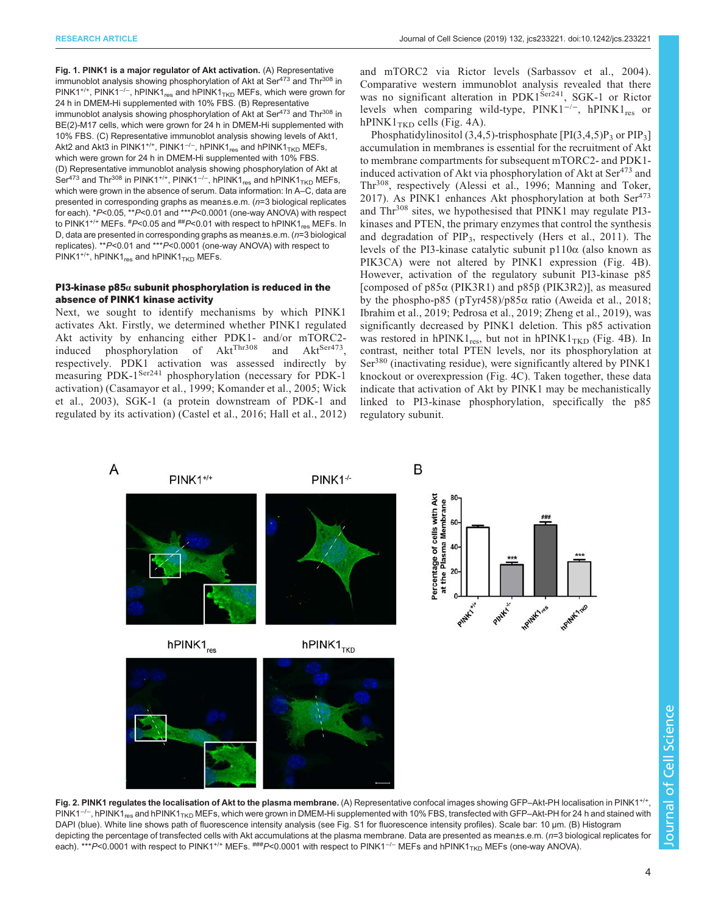<span id="page-3-0"></span>Fig. 1. PINK1 is a major regulator of Akt activation. (A) Representative immunoblot analysis showing phosphorylation of Akt at Ser $473$  and Thr $308$  in PINK1<sup>+/+</sup>, PINK1<sup>-/-</sup>, hPINK1<sub>res</sub> and hPINK1<sub>TKD</sub> MEFs, which were grown for 24 h in DMEM-Hi supplemented with 10% FBS. (B) Representative immunoblot analysis showing phosphorylation of Akt at Ser $473$  and Thr $308$  in BE(2)-M17 cells, which were grown for 24 h in DMEM-Hi supplemented with 10% FBS. (C) Representative immunoblot analysis showing levels of Akt1, Akt2 and Akt3 in PINK1<sup>+/+</sup>, PINK1<sup>-/-</sup>, hPINK1<sub>res</sub> and hPINK1<sub>TKD</sub> MEFs, which were grown for 24 h in DMEM-Hi supplemented with 10% FBS. (D) Representative immunoblot analysis showing phosphorylation of Akt at Ser<sup>473</sup> and Thr<sup>308</sup> in PINK1<sup>+/+</sup>, PINK1<sup>-/-</sup>, hPINK1<sub>res</sub> and hPINK1<sub>TKD</sub> MEFs, which were grown in the absence of serum. Data information: In A–C, data are presented in corresponding graphs as mean±s.e.m. (n=3 biological replicates for each). \*P<0.05, \*\*P<0.01 and \*\*\*P<0.0001 (one-way ANOVA) with respect to PINK1<sup>+/+</sup> MEFs.  $\text{\#P<}$ 0.05 and  $\text{\#P<}$ 0.01 with respect to hPINK1 $_{\text{res}}$  MEFs. In D, data are presented in corresponding graphs as mean±s.e.m. (n=3 biological replicates). \*\*P<0.01 and \*\*\*P<0.0001 (one-way ANOVA) with respect to PINK1<sup>+/+</sup>, hPINK1<sub>res</sub> and hPINK1<sub>TKD</sub> MEFs.

# PI3-kinase p85 $\alpha$  subunit phosphorylation is reduced in the absence of PINK1 kinase activity

Next, we sought to identify mechanisms by which PINK1 activates Akt. Firstly, we determined whether PINK1 regulated Akt activity by enhancing either PDK1- and/or mTORC2-<br>induced phosphorylation of  $Akt^{Thr308}$  and  $Akt^{Ser473}$ , induced phosphorylation of  $Akt^{Thr308}$  and  $Akt^{Ser473}$ , respectively. PDK1 activation was assessed indirectly by measuring PDK-1<sup>Ser241</sup> phosphorylation (necessary for PDK-1 activation) ([Casamayor et al., 1999](#page-12-0); [Komander et al., 2005](#page-13-0); [Wick](#page-15-0) [et al., 2003\)](#page-15-0), SGK-1 (a protein downstream of PDK-1 and regulated by its activation) ([Castel et al., 2016](#page-12-0); [Hall et al., 2012\)](#page-13-0) and mTORC2 via Rictor levels [\(Sarbassov et al., 2004](#page-14-0)). Comparative western immunoblot analysis revealed that there was no significant alteration in PDK1<sup>Ser241</sup>, SGK-1 or Rictor levels when comparing wild-type,  $\text{PINK1}^{-/-}$ , hPINK1<sub>res</sub> or hPINK $1_{TKD}$  cells ([Fig. 4A](#page-5-0)).

Phosphatidylinositol (3,4,5)-trisphosphate  $[PI(3,4,5)P_3$  or  $PIP_3]$ accumulation in membranes is essential for the recruitment of Akt to membrane compartments for subsequent mTORC2- and PDK1 induced activation of Akt via phosphorylation of Akt at  $\text{Ser}^{473}$  and Thr308, respectively ([Alessi et al., 1996;](#page-12-0) [Manning and Toker,](#page-14-0) [2017](#page-14-0)). As PINK1 enhances Akt phosphorylation at both Ser<sup>473</sup> and Thr<sup>308</sup> sites, we hypothesised that PINK1 may regulate PI3kinases and PTEN, the primary enzymes that control the synthesis and degradation of  $PIP_3$ , respectively ([Hers et al., 2011](#page-13-0)). The levels of the PI3-kinase catalytic subunit p110α (also known as PIK3CA) were not altered by PINK1 expression [\(Fig. 4](#page-5-0)B). However, activation of the regulatory subunit PI3-kinase p85 [composed of p85α (PIK3R1) and p85β (PIK3R2)], as measured by the phospho-p85 ( pTyr458)/p85α ratio ([Aweida et al., 2018](#page-12-0); [Ibrahim et al., 2019](#page-13-0); [Pedrosa et al., 2019](#page-14-0); [Zheng et al., 2019](#page-15-0)), was significantly decreased by PINK1 deletion. This p85 activation was restored in  $hPINK1_{res}$ , but not in  $hPINK1_{TKD}$  ([Fig. 4B](#page-5-0)). In contrast, neither total PTEN levels, nor its phosphorylation at Ser<sup>380</sup> (inactivating residue), were significantly altered by PINK1 knockout or overexpression ([Fig. 4C](#page-5-0)). Taken together, these data indicate that activation of Akt by PINK1 may be mechanistically linked to PI3-kinase phosphorylation, specifically the p85 regulatory subunit.



Fig. 2. PINK1 regulates the localisation of Akt to the plasma membrane. (A) Representative confocal images showing GFP–Akt-PH localisation in PINK1<sup>+/+</sup> PINK1<sup>-/-</sup>, hPINK1<sub>res</sub> and hPINK1<sub>TKD</sub> MEFs, which were grown in DMEM-Hi supplemented with 10% FBS, transfected with GFP–Akt-PH for 24 h and stained with DAPI (blue). White line shows path of fluorescence intensity analysis (see [Fig. S1](http://jcs.biologists.org/lookup/doi/10.1242/jcs.233221.supplemental) for fluorescence intensity profiles). Scale bar: 10 μm. (B) Histogram depicting the percentage of transfected cells with Akt accumulations at the plasma membrane. Data are presented as mean±s.e.m. (n=3 biological replicates for each). \*\*\*P<0.0001 with respect to PINK1<sup>+/+</sup> MEFs. ###P<0.0001 with respect to PINK1<sup>-/-</sup> MEFs and hPINK1<sub>TKD</sub> MEFs (one-way ANOVA).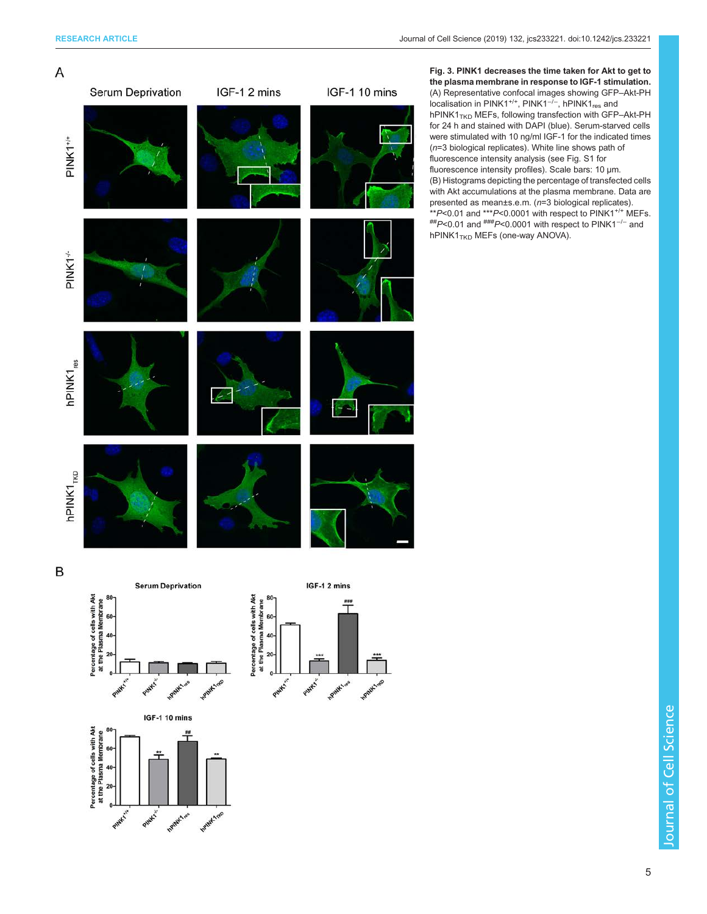<span id="page-4-0"></span>

Fig. 3. PINK1 decreases the time taken for Akt to get to the plasma membrane in response to IGF-1 stimulation. (A) Representative confocal images showing GFP–Akt-PH localisation in PINK1<sup>+/+</sup>, PINK1<sup>-/-</sup>, hPINK1<sub>res</sub> and hPINK1 $_{TKD}$  MEFs, following transfection with GFP–Akt-PH for 24 h and stained with DAPI (blue). Serum-starved cells were stimulated with 10 ng/ml IGF-1 for the indicated times (n=3 biological replicates). White line shows path of fluorescence intensity analysis (see [Fig. S1](http://jcs.biologists.org/lookup/doi/10.1242/jcs.233221.supplemental) for fluorescence intensity profiles). Scale bars: 10 μm. (B) Histograms depicting the percentage of transfected cells with Akt accumulations at the plasma membrane. Data are presented as mean±s.e.m. (n=3 biological replicates). \*\*P<0.01 and \*\*\*P<0.0001 with respect to PINK1+/+ MEFs. ##P<0.01 and ###P<0.0001 with respect to PINK1−/<sup>−</sup> and  $hPINK1_{TKD}$  MEFs (one-way ANOVA).







IGF-1 10 mins



**Journal of Cell Science** Journal of Cell Science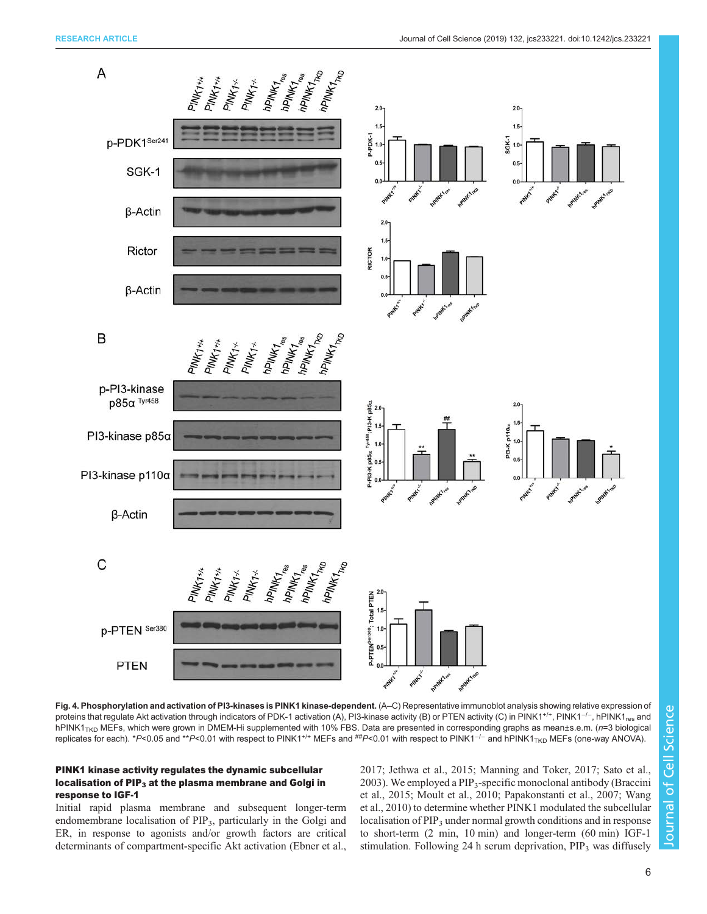<span id="page-5-0"></span>

Fig. 4. Phosphorylation and activation of PI3-kinases is PINK1 kinase-dependent. (A–C) Representative immunoblot analysis showing relative expression of proteins that regulate Akt activation through indicators of PDK-1 activation (A), PI3-kinase activity (B) or PTEN activity (C) in PINK1<sup>+/+</sup>, PINK1<sup>-/−</sup>, hPINK1<sub>res</sub> and hPINK1<sub>TKD</sub> MEFs, which were grown in DMEM-Hi supplemented with 10% FBS. Data are presented in corresponding graphs as mean±s.e.m. (n=3 biological replicates for each). \*P<0.05 and \*\*P<0.01 with respect to PINK1<sup>+/+</sup> MEFs and ##P<0.01 with respect to PINK1<sup>-/-</sup> and hPINK1<sub>TKD</sub> MEFs (one-way ANOVA).

# PINK1 kinase activity regulates the dynamic subcellular localisation of PIP<sub>3</sub> at the plasma membrane and Golgi in response to IGF-1

Initial rapid plasma membrane and subsequent longer-term endomembrane localisation of PIP<sub>3</sub>, particularly in the Golgi and ER, in response to agonists and/or growth factors are critical determinants of compartment-specific Akt activation ([Ebner et al.,](#page-13-0) [2017; Jethwa et al., 2015;](#page-13-0) [Manning and Toker, 2017; Sato et al.,](#page-14-0) [2003\)](#page-14-0). We employed a  $PIP_3$ -specific monoclonal antibody ([Braccini](#page-12-0) [et al., 2015;](#page-12-0) [Moult et al., 2010](#page-14-0); [Papakonstanti et al., 2007](#page-14-0); [Wang](#page-15-0) [et al., 2010](#page-15-0)) to determine whether PINK1 modulated the subcellular localisation of PIP<sub>3</sub> under normal growth conditions and in response to short-term (2 min, 10 min) and longer-term (60 min) IGF-1 stimulation. Following 24 h serum deprivation,  $PIP<sub>3</sub>$  was diffusely

Journal of Cell Science

6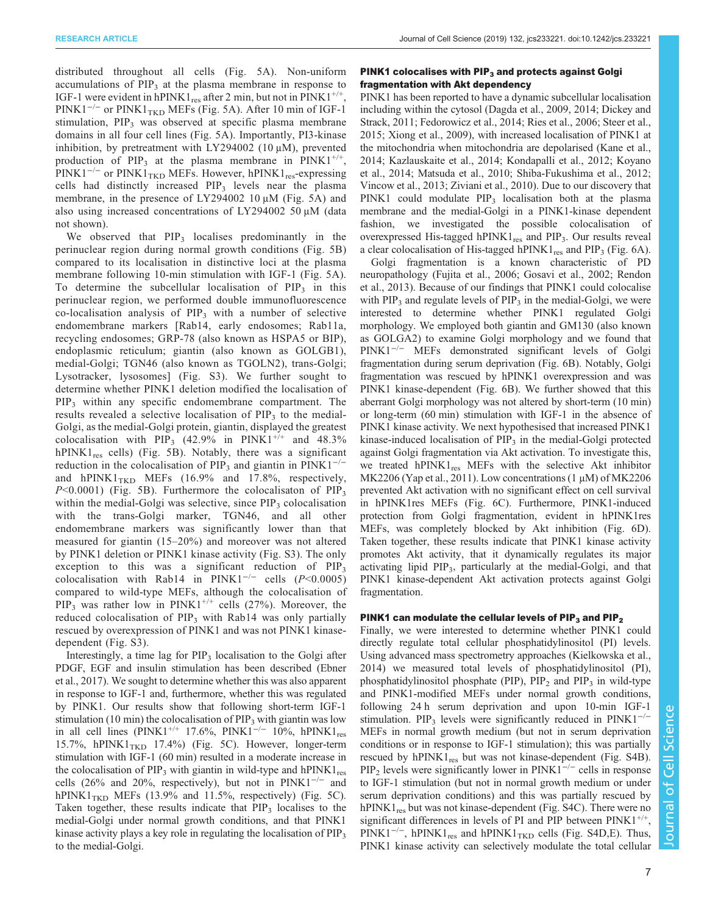distributed throughout all cells [\(Fig. 5](#page-8-0)A). Non-uniform accumulations of  $PIP<sub>3</sub>$  at the plasma membrane in response to IGF-1 were evident in hPINK1<sub>res</sub> after 2 min, but not in PINK1<sup>+/+</sup>, PINK1<sup>-/-</sup> or PINK1<sub>TKD</sub> MEFs ([Fig. 5A](#page-8-0)). After 10 min of IGF-1 stimulation,  $PIP_3$  was observed at specific plasma membrane domains in all four cell lines ([Fig. 5A](#page-8-0)). Importantly, PI3-kinase inhibition, by pretreatment with LY294002 (10  $\mu$ M), prevented production of PIP<sub>3</sub> at the plasma membrane in PINK1<sup>+/+</sup>, PINK1<sup>-/-</sup> or PINK1<sub>TKD</sub> MEFs. However, hPINK1<sub>res</sub>-expressing cells had distinctly increased  $PIP<sub>3</sub>$  levels near the plasma membrane, in the presence of LY294002 10 μM [\(Fig. 5](#page-8-0)A) and also using increased concentrations of LY294002 50 μM (data not shown).

We observed that  $PIP_3$  localises predominantly in the perinuclear region during normal growth conditions ([Fig. 5](#page-8-0)B) compared to its localisation in distinctive loci at the plasma membrane following 10-min stimulation with IGF-1 [\(Fig. 5](#page-8-0)A). To determine the subcellular localisation of  $PIP_3$  in this perinuclear region, we performed double immunofluorescence  $co-localisation$  analysis of  $PIP<sub>3</sub>$  with a number of selective endomembrane markers [Rab14, early endosomes; Rab11a, recycling endosomes; GRP-78 (also known as HSPA5 or BIP), endoplasmic reticulum; giantin (also known as GOLGB1), medial-Golgi; TGN46 (also known as TGOLN2), trans-Golgi; Lysotracker, lysosomes] [\(Fig. S3\)](http://jcs.biologists.org/lookup/doi/10.1242/jcs.233221.supplemental). We further sought to determine whether PINK1 deletion modified the localisation of PIP3 within any specific endomembrane compartment. The results revealed a selective localisation of  $PIP<sub>3</sub>$  to the medial-Golgi, as the medial-Golgi protein, giantin, displayed the greatest colocalisation with PIP<sub>3</sub> (42.9% in PINK1<sup>+/+</sup> and 48.3%  $hPINK1_{res}$  cells) [\(Fig. 5](#page-8-0)B). Notably, there was a significant reduction in the colocalisation of PIP<sub>3</sub> and giantin in PINK1<sup>-/−</sup> and  $hPINK1_{TKD}$  MEFs (16.9% and 17.8%, respectively,  $P<0.0001$ ) [\(Fig. 5](#page-8-0)B). Furthermore the colocalisaton of PIP<sub>3</sub> within the medial-Golgi was selective, since  $PIP_3$  colocalisation with the trans-Golgi marker, TGN46, and all other endomembrane markers was significantly lower than that measured for giantin (15–20%) and moreover was not altered by PINK1 deletion or PINK1 kinase activity ([Fig. S3\)](http://jcs.biologists.org/lookup/doi/10.1242/jcs.233221.supplemental). The only exception to this was a significant reduction of  $PIP_3$ colocalisation with Rab14 in PINK1<sup>-/-</sup> cells ( $P$ <0.0005) compared to wild-type MEFs, although the colocalisation of  $PIP_3$  was rather low in  $PINK1^{+/+}$  cells (27%). Moreover, the reduced colocalisation of  $PIP_3$  with Rab14 was only partially rescued by overexpression of PINK1 and was not PINK1 kinasedependent ([Fig. S3](http://jcs.biologists.org/lookup/doi/10.1242/jcs.233221.supplemental)).

Interestingly, a time lag for  $PIP_3$  localisation to the Golgi after PDGF, EGF and insulin stimulation has been described ([Ebner](#page-13-0) [et al., 2017](#page-13-0)). We sought to determine whether this was also apparent in response to IGF-1 and, furthermore, whether this was regulated by PINK1. Our results show that following short-term IGF-1 stimulation (10 min) the colocalisation of  $PIP<sub>3</sub>$  with giantin was low in all cell lines (PINK1<sup>+/+</sup> 17.6%, PINK1<sup>-/-</sup> 10%, hPINK1<sub>res</sub> 15.7%, hPINK $1_{TKD}$  17.4%) ([Fig. 5](#page-8-0)C). However, longer-term stimulation with IGF-1 (60 min) resulted in a moderate increase in the colocalisation of PIP<sub>3</sub> with giantin in wild-type and hPINK1<sub>res</sub> cells (26% and 20%, respectively), but not in PINK1<sup> $-/-$ </sup> and hPINK1 $_{TKD}$  MEFs (13.9% and 11.5%, respectively) ([Fig. 5](#page-8-0)C). Taken together, these results indicate that  $PIP<sub>3</sub>$  localises to the medial-Golgi under normal growth conditions, and that PINK1 kinase activity plays a key role in regulating the localisation of PIP<sub>3</sub> to the medial-Golgi.

# PINK1 colocalises with  $\text{PIP}_3$  and protects against Golgi fragmentation with Akt dependency

PINK1 has been reported to have a dynamic subcellular localisation including within the cytosol [\(Dagda et al., 2009](#page-13-0), [2014](#page-13-0); [Dickey and](#page-13-0) [Strack, 2011](#page-13-0); [Fedorowicz et al., 2014;](#page-13-0) [Ries et al., 2006](#page-14-0); [Steer et al.,](#page-14-0) [2015;](#page-14-0) [Xiong et al., 2009\)](#page-15-0), with increased localisation of PINK1 at the mitochondria when mitochondria are depolarised ([Kane et al.,](#page-13-0) [2014; Kazlauskaite et al., 2014; Kondapalli et al., 2012](#page-13-0); [Koyano](#page-13-0) [et al., 2014;](#page-13-0) [Matsuda et al., 2010; Shiba-Fukushima et al., 2012](#page-14-0); [Vincow et al., 2013; Ziviani et al., 2010](#page-15-0)). Due to our discovery that PINK1 could modulate  $PIP_3$  localisation both at the plasma membrane and the medial-Golgi in a PINK1-kinase dependent fashion, we investigated the possible colocalisation of overexpressed His-tagged hPINK $1_{res}$  and PIP<sub>3</sub>. Our results reveal a clear colocalisation of His-tagged hPINK1<sub>res</sub> and PIP<sub>3</sub> [\(Fig. 6A](#page-10-0)).

Golgi fragmentation is a known characteristic of PD neuropathology ([Fujita et al., 2006; Gosavi et al., 2002](#page-13-0); [Rendon](#page-14-0) [et al., 2013\)](#page-14-0). Because of our findings that PINK1 could colocalise with  $PIP_3$  and regulate levels of  $PIP_3$  in the medial-Golgi, we were interested to determine whether PINK1 regulated Golgi morphology. We employed both giantin and GM130 (also known as GOLGA2) to examine Golgi morphology and we found that PINK1−/<sup>−</sup> MEFs demonstrated significant levels of Golgi fragmentation during serum deprivation ([Fig. 6](#page-10-0)B). Notably, Golgi fragmentation was rescued by hPINK1 overexpression and was PINK1 kinase-dependent ([Fig. 6](#page-10-0)B). We further showed that this aberrant Golgi morphology was not altered by short-term (10 min) or long-term (60 min) stimulation with IGF-1 in the absence of PINK1 kinase activity. We next hypothesised that increased PINK1 kinase-induced localisation of  $PIP<sub>3</sub>$  in the medial-Golgi protected against Golgi fragmentation via Akt activation. To investigate this, we treated  $h$ PINK1<sub>res</sub> MEFs with the selective Akt inhibitor MK2206 [\(Yap et al., 2011](#page-15-0)). Low concentrations (1  $\mu$ M) of MK2206 prevented Akt activation with no significant effect on cell survival in hPINK1res MEFs ([Fig. 6](#page-10-0)C). Furthermore, PINK1-induced protection from Golgi fragmentation, evident in hPINK1res MEFs, was completely blocked by Akt inhibition [\(Fig. 6D](#page-10-0)). Taken together, these results indicate that PINK1 kinase activity promotes Akt activity, that it dynamically regulates its major activating lipid PIP3, particularly at the medial-Golgi, and that PINK1 kinase-dependent Akt activation protects against Golgi fragmentation.

## PINK1 can modulate the cellular levels of PIP<sub>3</sub> and PIP<sub>2</sub>

Finally, we were interested to determine whether PINK1 could directly regulate total cellular phosphatidylinositol (PI) levels. Using advanced mass spectrometry approaches ([Kielkowska et al.,](#page-13-0) [2014\)](#page-13-0) we measured total levels of phosphatidylinositol (PI), phosphatidylinositol phosphate (PIP),  $PIP_2$  and  $PIP_3$  in wild-type and PINK1-modified MEFs under normal growth conditions, following 24 h serum deprivation and upon 10-min IGF-1 stimulation. PIP<sub>3</sub> levels were significantly reduced in PINK1<sup>-/−</sup> MEFs in normal growth medium (but not in serum deprivation conditions or in response to IGF-1 stimulation); this was partially rescued by  $h\text{PINK1}_{res}$  but was not kinase-dependent ([Fig. S4B\)](http://jcs.biologists.org/lookup/doi/10.1242/jcs.233221.supplemental). PIP<sub>2</sub> levels were significantly lower in PINK1<sup>-/−</sup> cells in response to IGF-1 stimulation (but not in normal growth medium or under serum deprivation conditions) and this was partially rescued by hPINK1<sub>res</sub> but was not kinase-dependent [\(Fig. S4C](http://jcs.biologists.org/lookup/doi/10.1242/jcs.233221.supplemental)). There were no significant differences in levels of PI and PIP between  $\text{PINK1}^{+/+}$ , PINK1<sup>-/-</sup>, hPINK1<sub>res</sub> and hPINK1<sub>TKD</sub> cells [\(Fig. S4D,E\)](http://jcs.biologists.org/lookup/doi/10.1242/jcs.233221.supplemental). Thus, PINK1 kinase activity can selectively modulate the total cellular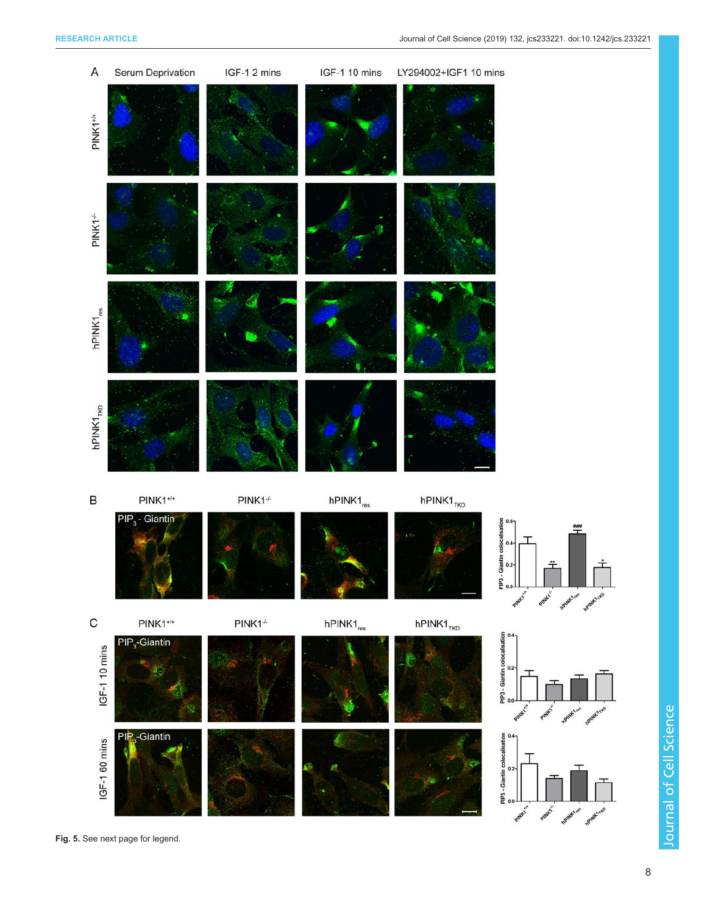

Journal of Cell Science Journal of Cell Science

Fig. 5. See next page for legend.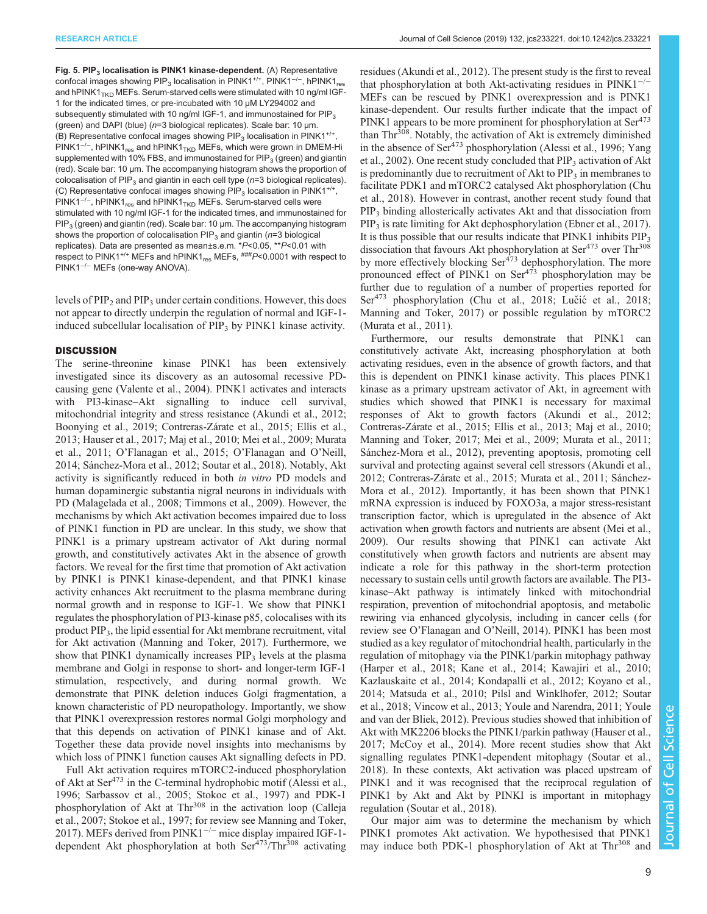<span id="page-8-0"></span>Fig. 5. PIP<sub>3</sub> localisation is PINK1 kinase-dependent. (A) Representative confocal images showing PIP<sub>3</sub> localisation in PINK1<sup>+/+</sup>, PINK1<sup>-/-</sup>, hPINK1<sub>res</sub> and hPINK1 $_{TKD}$  MEFs. Serum-starved cells were stimulated with 10 ng/ml IGF-1 for the indicated times, or pre-incubated with 10 μM LY294002 and subsequently stimulated with 10 ng/ml IGF-1, and immunostained for PIP<sub>3</sub> (green) and DAPI (blue) (n=3 biological replicates). Scale bar: 10 μm. (B) Representative confocal images showing PIP<sub>3</sub> localisation in PINK1<sup>+/+</sup>, PINK1<sup>-/-</sup>, hPINK1<sub>res</sub> and hPINK1<sub>TKD</sub> MEFs, which were grown in DMEM-Hi supplemented with 10% FBS, and immunostained for  $PIP_3$  (green) and giantin (red). Scale bar: 10 μm. The accompanying histogram shows the proportion of colocalisation of PIP<sub>3</sub> and giantin in each cell type ( $n=3$  biological replicates). (C) Representative confocal images showing PIP<sub>3</sub> localisation in PINK1<sup>+/+</sup>, PINK1<sup>-/-</sup>, hPINK1<sub>res</sub> and hPINK1<sub>TKD</sub> MEFs. Serum-starved cells were stimulated with 10 ng/ml IGF-1 for the indicated times, and immunostained for  $PIP_3$  (green) and giantin (red). Scale bar: 10  $\mu$ m. The accompanying histogram shows the proportion of colocalisation  $PIP_3$  and giantin ( $n=3$  biological replicates). Data are presented as mean±s.e.m. \*P<0.05, \*\*P<0.01 with respect to PINK1<sup>+/+</sup> MEFs and hPINK1<sub>res</sub> MEFs,  $\frac{ \# \# P}{ }$ <0.0001 with respect to PINK1−/<sup>−</sup> MEFs (one-way ANOVA).

levels of  $PIP<sub>2</sub>$  and  $PIP<sub>3</sub>$  under certain conditions. However, this does not appear to directly underpin the regulation of normal and IGF-1 induced subcellular localisation of PIP<sub>3</sub> by PINK1 kinase activity.

#### **DISCUSSION**

The serine-threonine kinase PINK1 has been extensively investigated since its discovery as an autosomal recessive PDcausing gene ([Valente et al., 2004\)](#page-15-0). PINK1 activates and interacts with PI3-kinase–Akt signalling to induce cell survival, mitochondrial integrity and stress resistance [\(Akundi et al., 2012](#page-12-0); [Boonying et al., 2019;](#page-12-0) [Contreras-Zárate et al., 2015; Ellis et al.,](#page-13-0) [2013](#page-13-0); [Hauser et al., 2017;](#page-13-0) [Maj et al., 2010](#page-14-0); [Mei et al., 2009; Murata](#page-14-0) [et al., 2011;](#page-14-0) O'[Flanagan et al., 2015](#page-14-0); O'[Flanagan and O](#page-14-0)'Neill, [2014](#page-14-0); [Sánchez-Mora et al., 2012](#page-14-0); [Soutar et al., 2018](#page-14-0)). Notably, Akt activity is significantly reduced in both in vitro PD models and human dopaminergic substantia nigral neurons in individuals with PD ([Malagelada et al., 2008;](#page-14-0) [Timmons et al., 2009](#page-15-0)). However, the mechanisms by which Akt activation becomes impaired due to loss of PINK1 function in PD are unclear. In this study, we show that PINK1 is a primary upstream activator of Akt during normal growth, and constitutively activates Akt in the absence of growth factors. We reveal for the first time that promotion of Akt activation by PINK1 is PINK1 kinase-dependent, and that PINK1 kinase activity enhances Akt recruitment to the plasma membrane during normal growth and in response to IGF-1. We show that PINK1 regulates the phosphorylation of PI3-kinase p85, colocalises with its product PIP3, the lipid essential for Akt membrane recruitment, vital for Akt activation [\(Manning and Toker, 2017](#page-14-0)). Furthermore, we show that PINK1 dynamically increases  $PIP<sub>3</sub>$  levels at the plasma membrane and Golgi in response to short- and longer-term IGF-1 stimulation, respectively, and during normal growth. We demonstrate that PINK deletion induces Golgi fragmentation, a known characteristic of PD neuropathology. Importantly, we show that PINK1 overexpression restores normal Golgi morphology and that this depends on activation of PINK1 kinase and of Akt. Together these data provide novel insights into mechanisms by which loss of PINK1 function causes Akt signalling defects in PD.

Full Akt activation requires mTORC2-induced phosphorylation of Akt at  $\text{Ser}^{473}$  in the C-terminal hydrophobic motif [\(Alessi et al.,](#page-12-0) [1996](#page-12-0); [Sarbassov et al., 2005](#page-14-0); [Stokoe et al., 1997](#page-15-0)) and PDK-1 phosphorylation of Akt at Thr<sup>308</sup> in the activation loop [\(Calleja](#page-12-0) [et al., 2007;](#page-12-0) [Stokoe et al., 1997](#page-15-0); for review see [Manning and Toker,](#page-14-0) [2017](#page-14-0)). MEFs derived from PINK1<sup>-/-</sup> mice display impaired IGF-1dependent Akt phosphorylation at both  $\text{Ser}^{473}/\text{Thr}^{308}$  activating

residues ([Akundi et al., 2012](#page-12-0)). The present study is the first to reveal that phosphorylation at both Akt-activating residues in PINK1−/<sup>−</sup> MEFs can be rescued by PINK1 overexpression and is PINK1 kinase-dependent. Our results further indicate that the impact of PINK1 appears to be more prominent for phosphorylation at Ser<sup>473</sup> than Thr<sup>308</sup>. Notably, the activation of Akt is extremely diminished in the absence of Ser<sup>473</sup> phosphorylation ([Alessi et al., 1996;](#page-12-0) [Yang](#page-15-0) [et al., 2002](#page-15-0)). One recent study concluded that  $PIP<sub>3</sub>$  activation of Akt is predominantly due to recruitment of Akt to  $\text{PIP}_3$  in membranes to facilitate PDK1 and mTORC2 catalysed Akt phosphorylation [\(Chu](#page-13-0) [et al., 2018](#page-13-0)). However in contrast, another recent study found that PIP3 binding allosterically activates Akt and that dissociation from PIP<sub>3</sub> is rate limiting for Akt dephosphorylation [\(Ebner et al., 2017\)](#page-13-0). It is thus possible that our results indicate that  $PINK1$  inhibits  $PIP<sub>3</sub>$ dissociation that favours Akt phosphorylation at  $\text{Ser}^{473}$  over Thr<sup>308</sup> by more effectively blocking  $\text{Ser}^{473}$  dephosphorylation. The more pronounced effect of PINK1 on  $\text{Ser}^{473}$  phosphorylation may be further due to regulation of a number of properties reported for Ser<sup>473</sup> phosphorylation [\(Chu et al., 2018](#page-13-0); Lučić [et al., 2018](#page-14-0); [Manning and Toker, 2017](#page-14-0)) or possible regulation by mTORC2 [\(Murata et al., 2011](#page-14-0)).

Furthermore, our results demonstrate that PINK1 can constitutively activate Akt, increasing phosphorylation at both activating residues, even in the absence of growth factors, and that this is dependent on PINK1 kinase activity. This places PINK1 kinase as a primary upstream activator of Akt, in agreement with studies which showed that PINK1 is necessary for maximal responses of Akt to growth factors ([Akundi et al., 2012](#page-12-0); [Contreras-Zárate et al., 2015](#page-13-0); [Ellis et al., 2013;](#page-13-0) [Maj et al., 2010](#page-14-0); [Manning and Toker, 2017](#page-14-0); [Mei et al., 2009; Murata et al., 2011](#page-14-0); [Sánchez-Mora et al., 2012](#page-14-0)), preventing apoptosis, promoting cell survival and protecting against several cell stressors [\(Akundi et al.,](#page-12-0) [2012;](#page-12-0) [Contreras-Zárate et al., 2015](#page-13-0); [Murata et al., 2011; Sánchez-](#page-14-0)[Mora et al., 2012\)](#page-14-0). Importantly, it has been shown that PINK1 mRNA expression is induced by FOXO3a, a major stress-resistant transcription factor, which is upregulated in the absence of Akt activation when growth factors and nutrients are absent ([Mei et al.,](#page-14-0) [2009\)](#page-14-0). Our results showing that PINK1 can activate Akt constitutively when growth factors and nutrients are absent may indicate a role for this pathway in the short-term protection necessary to sustain cells until growth factors are available. The PI3 kinase–Akt pathway is intimately linked with mitochondrial respiration, prevention of mitochondrial apoptosis, and metabolic rewiring via enhanced glycolysis, including in cancer cells (for review see O'[Flanagan and O](#page-14-0)'Neill, 2014). PINK1 has been most studied as a key regulator of mitochondrial health, particularly in the regulation of mitophagy via the PINK1/parkin mitophagy pathway [\(Harper et al., 2018](#page-13-0); [Kane et al., 2014; Kawajiri et al., 2010](#page-13-0); [Kazlauskaite et al., 2014; Kondapalli et al., 2012](#page-13-0); [Koyano et al.,](#page-13-0) [2014;](#page-13-0) [Matsuda et al., 2010](#page-14-0); [Pilsl and Winklhofer, 2012; Soutar](#page-14-0) [et al., 2018;](#page-14-0) [Vincow et al., 2013](#page-15-0); [Youle and Narendra, 2011](#page-15-0); [Youle](#page-15-0) [and van der Bliek, 2012](#page-15-0)). Previous studies showed that inhibition of Akt with MK2206 blocks the PINK1/parkin pathway [\(Hauser et al.,](#page-13-0) [2017;](#page-13-0) [McCoy et al., 2014](#page-14-0)). More recent studies show that Akt signalling regulates PINK1-dependent mitophagy ([Soutar et al.,](#page-14-0) [2018\)](#page-14-0). In these contexts, Akt activation was placed upstream of PINK1 and it was recognised that the reciprocal regulation of PINK1 by Akt and Akt by PINKI is important in mitophagy regulation ([Soutar et al., 2018](#page-14-0)).

Our major aim was to determine the mechanism by which PINK1 promotes Akt activation. We hypothesised that PINK1 may induce both PDK-1 phosphorylation of Akt at Thr<sup>308</sup> and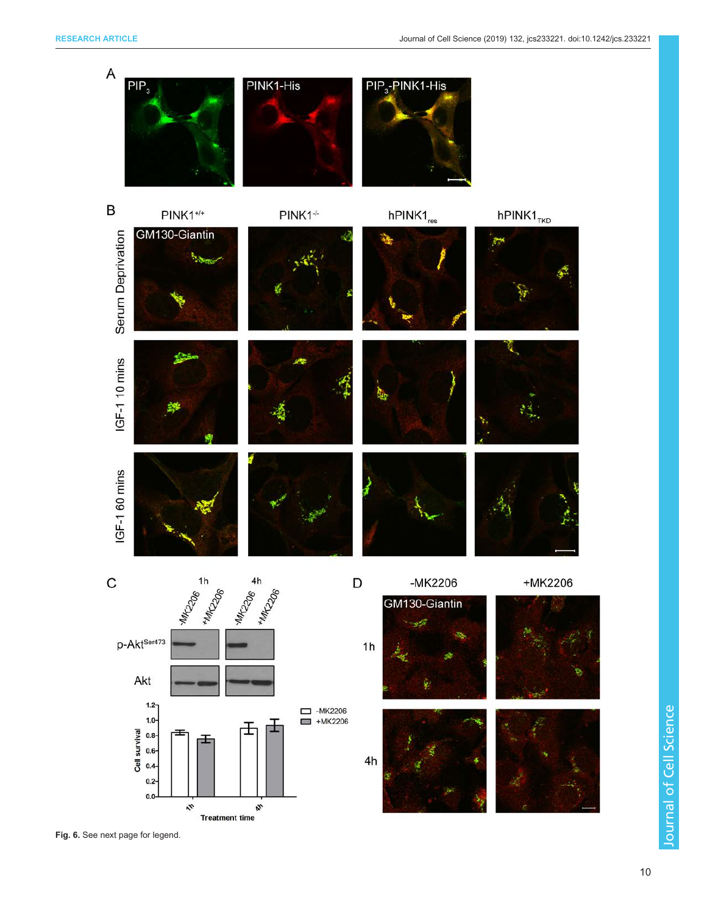

Fig. 6. See next page for legend.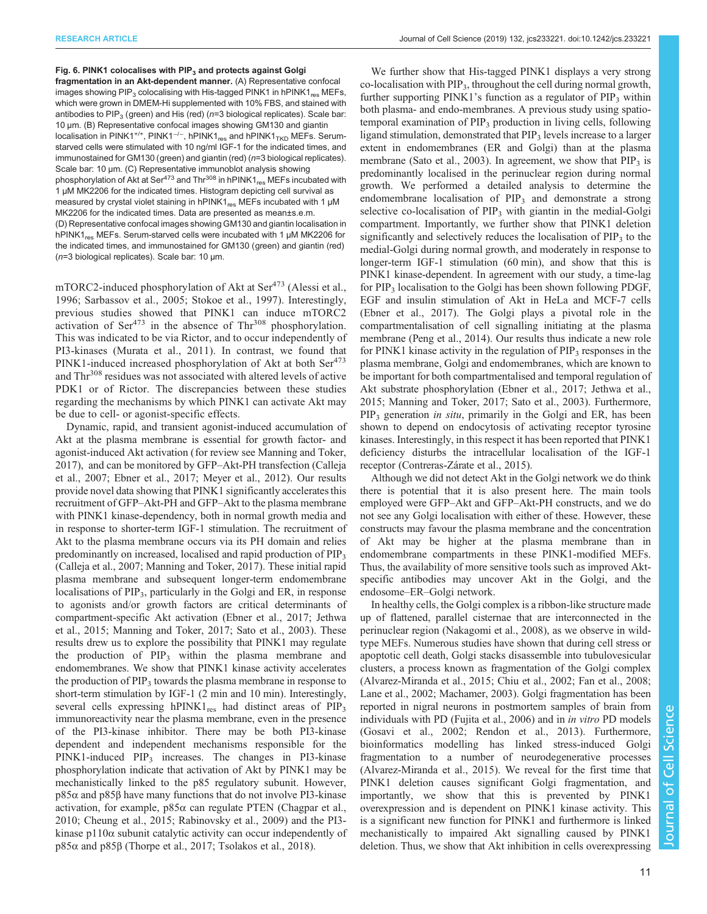#### <span id="page-10-0"></span>Fig. 6. PINK1 colocalises with  $PIP_3$  and protects against Golgi

fragmentation in an Akt-dependent manner. (A) Representative confocal images showing PIP<sub>3</sub> colocalising with His-tagged PINK1 in hPINK1<sub>res</sub> MEFs, which were grown in DMEM-Hi supplemented with 10% FBS, and stained with antibodies to PIP<sub>3</sub> (green) and His (red) ( $n=3$  biological replicates). Scale bar: 10 μm. (B) Representative confocal images showing GM130 and giantin localisation in PINK1<sup>+/+</sup>, PINK1<sup>-/−</sup>, hPINK1<sub>res</sub> and hPINK1<sub>TKD</sub> MEFs. Serumstarved cells were stimulated with 10 ng/ml IGF-1 for the indicated times, and immunostained for GM130 (green) and giantin (red) (n=3 biological replicates). Scale bar: 10 μm. (C) Representative immunoblot analysis showing phosphorylation of Akt at Ser<sup>473</sup> and Thr<sup>308</sup> in hPINK1<sub>res</sub> MEFs incubated with 1 μM MK2206 for the indicated times. Histogram depicting cell survival as measured by crystal violet staining in hPINK1<sub>res</sub> MEFs incubated with 1 μM MK2206 for the indicated times. Data are presented as mean±s.e.m. (D) Representative confocal images showing GM130 and giantin localisation in hPINK1<sub>res</sub> MEFs. Serum-starved cells were incubated with 1 μM MK2206 for the indicated times, and immunostained for GM130 (green) and giantin (red) (n=3 biological replicates). Scale bar: 10 μm.

mTORC2-induced phosphorylation of Akt at Ser<sup>473</sup> ([Alessi et al.,](#page-12-0) [1996](#page-12-0); [Sarbassov et al., 2005](#page-14-0); [Stokoe et al., 1997\)](#page-15-0). Interestingly, previous studies showed that PINK1 can induce mTORC2 activation of  $\text{Ser}^{473}$  in the absence of Thr<sup>308</sup> phosphorylation. This was indicated to be via Rictor, and to occur independently of PI3-kinases [\(Murata et al., 2011](#page-14-0)). In contrast, we found that PINK1-induced increased phosphorylation of Akt at both Ser<sup>473</sup> and Thr<sup>308</sup> residues was not associated with altered levels of active PDK1 or of Rictor. The discrepancies between these studies regarding the mechanisms by which PINK1 can activate Akt may be due to cell- or agonist-specific effects.

Dynamic, rapid, and transient agonist-induced accumulation of Akt at the plasma membrane is essential for growth factor- and agonist-induced Akt activation (for review see [Manning and Toker,](#page-14-0) [2017](#page-14-0)), and can be monitored by GFP–Akt-PH transfection [\(Calleja](#page-12-0) [et al., 2007;](#page-12-0) [Ebner et al., 2017;](#page-13-0) [Meyer et al., 2012](#page-14-0)). Our results provide novel data showing that PINK1 significantly accelerates this recruitment of GFP–Akt-PH and GFP–Akt to the plasma membrane with PINK1 kinase-dependency, both in normal growth media and in response to shorter-term IGF-1 stimulation. The recruitment of Akt to the plasma membrane occurs via its PH domain and relies predominantly on increased, localised and rapid production of PIP3 [\(Calleja et al., 2007;](#page-12-0) [Manning and Toker, 2017](#page-14-0)). These initial rapid plasma membrane and subsequent longer-term endomembrane localisations of PIP<sub>3</sub>, particularly in the Golgi and ER, in response to agonists and/or growth factors are critical determinants of compartment-specific Akt activation ([Ebner et al., 2017](#page-13-0); [Jethwa](#page-13-0) [et al., 2015;](#page-13-0) [Manning and Toker, 2017](#page-14-0); [Sato et al., 2003\)](#page-14-0). These results drew us to explore the possibility that PINK1 may regulate the production of PIP<sub>3</sub> within the plasma membrane and endomembranes. We show that PINK1 kinase activity accelerates the production of PIP<sub>3</sub> towards the plasma membrane in response to short-term stimulation by IGF-1 (2 min and 10 min). Interestingly, several cells expressing  $h$ PINK1<sub>res</sub> had distinct areas of PIP<sub>3</sub> immunoreactivity near the plasma membrane, even in the presence of the PI3-kinase inhibitor. There may be both PI3-kinase dependent and independent mechanisms responsible for the PINK1-induced PIP<sub>3</sub> increases. The changes in PI3-kinase phosphorylation indicate that activation of Akt by PINK1 may be mechanistically linked to the p85 regulatory subunit. However, p85α and p85β have many functions that do not involve PI3-kinase activation, for example,  $p85\alpha$  can regulate PTEN ([Chagpar et al.,](#page-13-0) [2010](#page-13-0); [Cheung et al., 2015;](#page-13-0) [Rabinovsky et al., 2009](#page-14-0)) and the PI3 kinase  $p110\alpha$  subunit catalytic activity can occur independently of  $p85α$  and  $p85β$  [\(Thorpe et al., 2017; Tsolakos et al., 2018](#page-15-0)).

We further show that His-tagged PINK1 displays a very strong  $\alpha$ -localisation with PIP<sub>3</sub>, throughout the cell during normal growth, further supporting PINK1's function as a regulator of  $PIP_3$  within both plasma- and endo-membranes. A previous study using spatiotemporal examination of  $PIP<sub>3</sub>$  production in living cells, following ligand stimulation, demonstrated that  $PIP<sub>3</sub>$  levels increase to a larger extent in endomembranes (ER and Golgi) than at the plasma membrane ([Sato et al., 2003](#page-14-0)). In agreement, we show that  $PIP_3$  is predominantly localised in the perinuclear region during normal growth. We performed a detailed analysis to determine the endomembrane localisation of  $PIP<sub>3</sub>$  and demonstrate a strong selective co-localisation of  $PIP_3$  with giantin in the medial-Golgi compartment. Importantly, we further show that PINK1 deletion significantly and selectively reduces the localisation of  $PIP<sub>3</sub>$  to the medial-Golgi during normal growth, and moderately in response to longer-term IGF-1 stimulation (60 min), and show that this is PINK1 kinase-dependent. In agreement with our study, a time-lag for PIP<sub>3</sub> localisation to the Golgi has been shown following PDGF, EGF and insulin stimulation of Akt in HeLa and MCF-7 cells [\(Ebner et al., 2017](#page-13-0)). The Golgi plays a pivotal role in the compartmentalisation of cell signalling initiating at the plasma membrane [\(Peng et al., 2014](#page-14-0)). Our results thus indicate a new role for PINK1 kinase activity in the regulation of  $PIP<sub>3</sub>$  responses in the plasma membrane, Golgi and endomembranes, which are known to be important for both compartmentalised and temporal regulation of Akt substrate phosphorylation ([Ebner et al., 2017; Jethwa et al.,](#page-13-0) [2015;](#page-13-0) [Manning and Toker, 2017](#page-14-0); [Sato et al., 2003](#page-14-0)). Furthermore,  $PIP<sub>3</sub>$  generation *in situ*, primarily in the Golgi and ER, has been shown to depend on endocytosis of activating receptor tyrosine kinases. Interestingly, in this respect it has been reported that PINK1 deficiency disturbs the intracellular localisation of the IGF-1 receptor [\(Contreras-Zárate et al., 2015\)](#page-13-0).

Although we did not detect Akt in the Golgi network we do think there is potential that it is also present here. The main tools employed were GFP–Akt and GFP–Akt-PH constructs, and we do not see any Golgi localisation with either of these. However, these constructs may favour the plasma membrane and the concentration of Akt may be higher at the plasma membrane than in endomembrane compartments in these PINK1-modified MEFs. Thus, the availability of more sensitive tools such as improved Aktspecific antibodies may uncover Akt in the Golgi, and the endosome–ER–Golgi network.

In healthy cells, the Golgi complex is a ribbon-like structure made up of flattened, parallel cisternae that are interconnected in the perinuclear region [\(Nakagomi et al., 2008\)](#page-14-0), as we observe in wildtype MEFs. Numerous studies have shown that during cell stress or apoptotic cell death, Golgi stacks disassemble into tubulovesicular clusters, a process known as fragmentation of the Golgi complex [\(Alvarez-Miranda et al., 2015;](#page-12-0) [Chiu et al., 2002; Fan et al., 2008](#page-13-0); [Lane et al., 2002](#page-13-0); [Machamer, 2003](#page-14-0)). Golgi fragmentation has been reported in nigral neurons in postmortem samples of brain from individuals with PD ([Fujita et al., 2006](#page-13-0)) and in in vitro PD models [\(Gosavi et al., 2002;](#page-13-0) [Rendon et al., 2013\)](#page-14-0). Furthermore, bioinformatics modelling has linked stress-induced Golgi fragmentation to a number of neurodegenerative processes [\(Alvarez-Miranda et al., 2015](#page-12-0)). We reveal for the first time that PINK1 deletion causes significant Golgi fragmentation, and importantly, we show that this is prevented by PINK1 overexpression and is dependent on PINK1 kinase activity. This is a significant new function for PINK1 and furthermore is linked mechanistically to impaired Akt signalling caused by PINK1 deletion. Thus, we show that Akt inhibition in cells overexpressing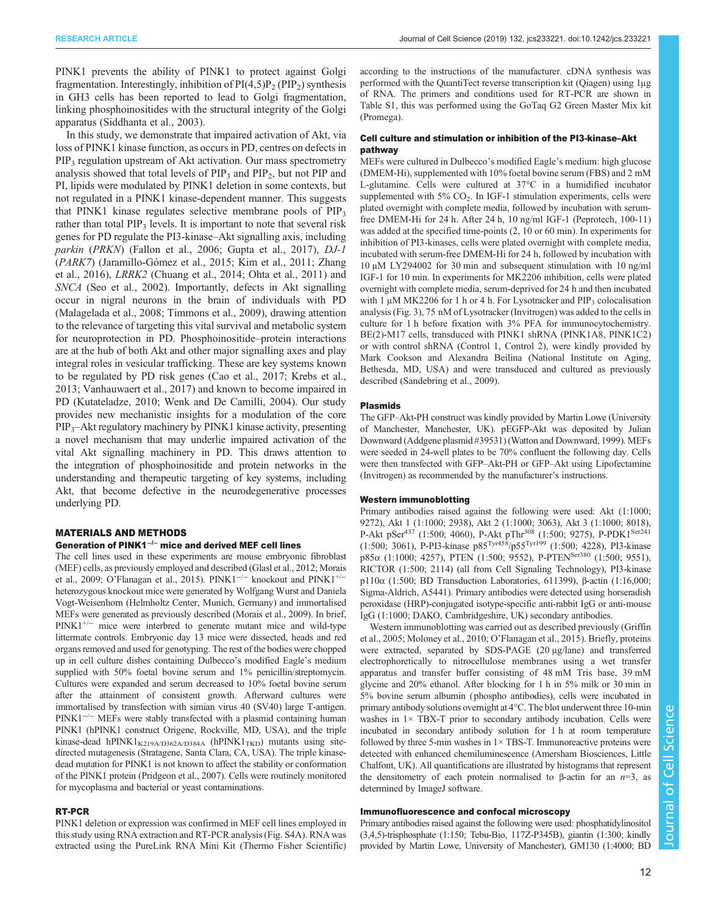PINK1 prevents the ability of PINK1 to protect against Golgi fragmentation. Interestingly, inhibition of  $PI(4,5)P_2 (PIP_2)$  synthesis in GH3 cells has been reported to lead to Golgi fragmentation, linking phosphoinositides with the structural integrity of the Golgi apparatus [\(Siddhanta et al., 2003](#page-14-0)).

In this study, we demonstrate that impaired activation of Akt, via loss of PINK1 kinase function, as occurs in PD, centres on defects in  $PIP<sub>3</sub>$  regulation upstream of Akt activation. Our mass spectrometry analysis showed that total levels of  $\text{PIP}_3$  and  $\text{PIP}_2$ , but not  $\text{PIP}$  and PI, lipids were modulated by PINK1 deletion in some contexts, but not regulated in a PINK1 kinase-dependent manner. This suggests that PINK1 kinase regulates selective membrane pools of  $PIP_3$ rather than total  $PIP_3$  levels. It is important to note that several risk genes for PD regulate the PI3-kinase–Akt signalling axis, including parkin (PRKN) [\(Fallon et al., 2006; Gupta et al., 2017](#page-13-0)), DJ-1 (PARK7) ([Jaramillo-Gómez et al., 2015; Kim et al., 2011;](#page-13-0) [Zhang](#page-15-0) [et al., 2016](#page-15-0)), LRRK2 ([Chuang et al., 2014;](#page-13-0) [Ohta et al., 2011](#page-14-0)) and SNCA [\(Seo et al., 2002\)](#page-14-0). Importantly, defects in Akt signalling occur in nigral neurons in the brain of individuals with PD [\(Malagelada et al., 2008;](#page-14-0) [Timmons et al., 2009](#page-15-0)), drawing attention to the relevance of targeting this vital survival and metabolic system for neuroprotection in PD. Phosphoinositide–protein interactions are at the hub of both Akt and other major signalling axes and play integral roles in vesicular trafficking. These are key systems known to be regulated by PD risk genes [\(Cao et al., 2017](#page-12-0); [Krebs et al.,](#page-13-0) [2013;](#page-13-0) [Vanhauwaert et al., 2017](#page-15-0)) and known to become impaired in PD ([Kutateladze, 2010](#page-13-0); [Wenk and De Camilli, 2004\)](#page-15-0). Our study provides new mechanistic insights for a modulation of the core PIP3–Akt regulatory machinery by PINK1 kinase activity, presenting a novel mechanism that may underlie impaired activation of the vital Akt signalling machinery in PD. This draws attention to the integration of phosphoinositide and protein networks in the understanding and therapeutic targeting of key systems, including Akt, that become defective in the neurodegenerative processes underlying PD.

# MATERIALS AND METHODS

# Generation of PINK1−/<sup>−</sup> mice and derived MEF cell lines

The cell lines used in these experiments are mouse embryonic fibroblast (MEF) cells, as previously employed and described [\(Glasl et al., 2012;](#page-13-0) [Morais](#page-14-0) [et al., 2009;](#page-14-0) O'[Flanagan et al., 2015](#page-14-0)). PINK1<sup>-/-</sup> knockout and PINK1<sup>+/-</sup> heterozygous knockout mice were generated by Wolfgang Wurst and Daniela Vogt-Weisenhorn (Helmholtz Center, Munich, Germany) and immortalised MEFs were generated as previously described [\(Morais et al., 2009\)](#page-14-0). In brief, PINK1+/<sup>−</sup> mice were interbred to generate mutant mice and wild-type littermate controls. Embryonic day 13 mice were dissected, heads and red organs removed and used for genotyping. The rest of the bodies were chopped up in cell culture dishes containing Dulbecco's modified Eagle's medium supplied with 50% foetal bovine serum and 1% penicillin/streptomycin. Cultures were expanded and serum decreased to 10% foetal bovine serum after the attainment of consistent growth. Afterward cultures were immortalised by transfection with simian virus 40 (SV40) large T-antigen. PINK1<sup>-/-</sup> MEFs were stably transfected with a plasmid containing human PINK1 (hPINK1 construct Origene, Rockville, MD, USA), and the triple kinase-dead hPINK1<sub>K219A/D362A/D384A</sub> (hPINK1<sub>TKD</sub>) mutants using sitedirected mutagenesis (Stratagene, Santa Clara, CA, USA). The triple kinasedead mutation for PINK1 is not known to affect the stability or conformation of the PINK1 protein ([Pridgeon et al., 2007](#page-14-0)). Cells were routinely monitored for mycoplasma and bacterial or yeast contaminations.

# RT-PCR

PINK1 deletion or expression was confirmed in MEF cell lines employed in this study using RNA extraction and RT-PCR analysis ([Fig. S4A\)](http://jcs.biologists.org/lookup/doi/10.1242/jcs.233221.supplemental). RNA was extracted using the PureLink RNA Mini Kit (Thermo Fisher Scientific) according to the instructions of the manufacturer. cDNA synthesis was performed with the QuantiTect reverse transcription kit (Qiagen) using 1μg of RNA. The primers and conditions used for RT-PCR are shown in [Table S1,](http://jcs.biologists.org/lookup/doi/10.1242/jcs.233221.supplemental) this was performed using the GoTaq G2 Green Master Mix kit (Promega).

## Cell culture and stimulation or inhibition of the PI3-kinase–Akt pathway

MEFs were cultured in Dulbecco's modified Eagle's medium: high glucose (DMEM-Hi), supplemented with 10% foetal bovine serum (FBS) and 2 mM L-glutamine. Cells were cultured at 37°C in a humidified incubator supplemented with  $5\%$  CO<sub>2</sub>. In IGF-1 stimulation experiments, cells were plated overnight with complete media, followed by incubation with serumfree DMEM-Hi for 24 h. After 24 h, 10 ng/ml IGF-1 (Peprotech, 100-11) was added at the specified time-points (2, 10 or 60 min). In experiments for inhibition of PI3-kinases, cells were plated overnight with complete media, incubated with serum-free DMEM-Hi for 24 h, followed by incubation with 10 μM LY294002 for 30 min and subsequent stimulation with 10 ng/ml IGF-1 for 10 min. In experiments for MK2206 inhibition, cells were plated overnight with complete media, serum-deprived for 24 h and then incubated with 1  $\mu$ M MK2206 for 1 h or 4 h. For Lysotracker and PIP<sub>3</sub> colocalisation analysis [\(Fig. 3](#page-4-0)), 75 nM of Lysotracker (Invitrogen) was added to the cells in culture for 1 h before fixation with 3% PFA for immunocytochemistry. BE(2)-M17 cells, transduced with PINK1 shRNA (PINK1A8, PINK1C2) or with control shRNA (Control 1, Control 2), were kindly provided by Mark Cookson and Alexandra Beilina (National Institute on Aging, Bethesda, MD, USA) and were transduced and cultured as previously described [\(Sandebring et al., 2009](#page-14-0)).

## Plasmids

The GFP–Akt-PH construct was kindly provided by Martin Lowe (University of Manchester, Manchester, UK). pEGFP-Akt was deposited by Julian Downward (Addgene plasmid [#39531\)](http://www.addgene.org/39531/) ([Watton and Downward, 1999](#page-15-0)). MEFs were seeded in 24-well plates to be 70% confluent the following day. Cells were then transfected with GFP–Akt-PH or GFP–Akt using Lipofectamine (Invitrogen) as recommended by the manufacturer's instructions.

#### Western immunoblotting

Primary antibodies raised against the following were used: Akt (1:1000; 9272), Akt 1 (1:1000; 2938), Akt 2 (1:1000; 3063), Akt 3 (1:1000; 8018), P-Akt pSer<sup>437</sup> (1:500; 4060), P-Akt pThr<sup>308</sup> (1:500; 9275), P-PDK1<sup>Ser241</sup> (1:500; 3061), P-PI3-kinase p85Tyr458/p55Tyr199 (1:500; 4228), PI3-kinase p85α (1:1000; 4257), PTEN (1:500; 9552), P-PTENSer380 (1:500; 9551), RICTOR (1:500; 2114) (all from Cell Signaling Technology), PI3-kinase p110α (1:500; BD Transduction Laboratories, 611399), β-actin (1:16,000; Sigma-Aldrich, A5441). Primary antibodies were detected using horseradish peroxidase (HRP)-conjugated isotype-specific anti-rabbit IgG or anti-mouse IgG (1:1000; DAKO, Cambridgeshire, UK) secondary antibodies.

Western immunoblotting was carried out as described previously ([Griffin](#page-13-0) [et al., 2005;](#page-13-0) [Moloney et al., 2010](#page-14-0); O'[Flanagan et al., 2015](#page-14-0)). Briefly, proteins were extracted, separated by SDS-PAGE (20 μg/lane) and transferred electrophoretically to nitrocellulose membranes using a wet transfer apparatus and transfer buffer consisting of 48 mM Tris base, 39 mM glycine and 20% ethanol. After blocking for 1 h in 5% milk or 30 min in 5% bovine serum albumin (phospho antibodies), cells were incubated in primary antibody solutions overnight at 4°C. The blot underwent three 10-min washes in  $1 \times$  TBX-T prior to secondary antibody incubation. Cells were incubated in secondary antibody solution for 1 h at room temperature followed by three 5-min washes in  $1 \times$  TBS-T. Immunoreactive proteins were detected with enhanced chemiluminescence (Amersham Biosciences, Little Chalfont, UK). All quantifications are illustrated by histograms that represent the densitometry of each protein normalised to β-actin for an  $n=3$ , as determined by ImageJ software.

# Immunofluorescence and confocal microscopy

Primary antibodies raised against the following were used: phosphatidylinositol (3,4,5)-trisphosphate (1:150; Tebu-Bio, 117Z-P345B), giantin (1:300; kindly provided by Martin Lowe, University of Manchester), GM130 (1:4000; BD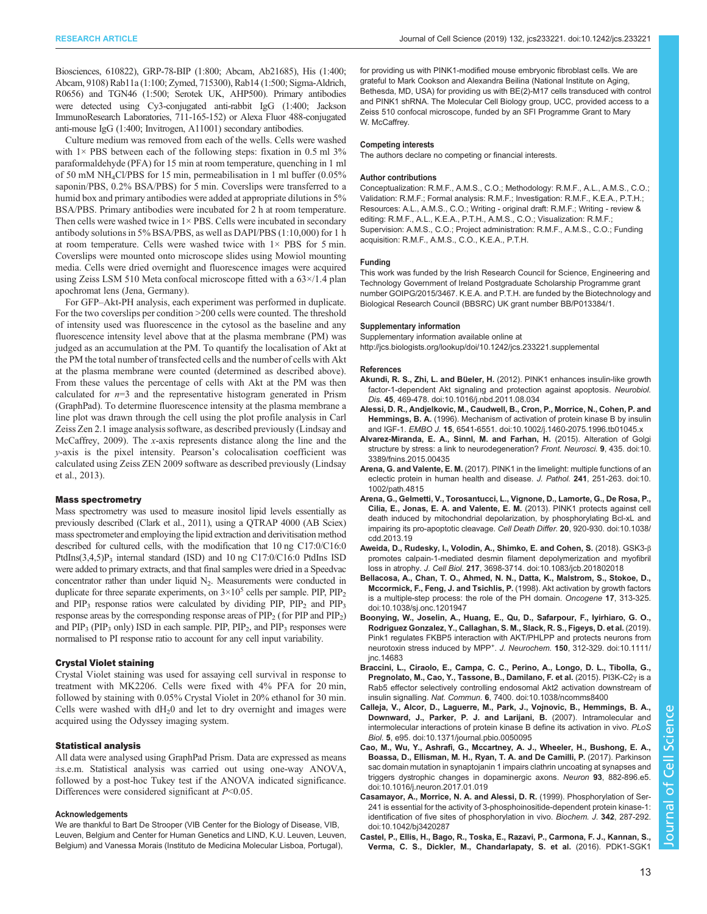<span id="page-12-0"></span>Biosciences, 610822), GRP-78-BIP (1:800; Abcam, Ab21685), His (1:400; Abcam, 9108) Rab11a (1:100; Zymed, 715300), Rab14 (1:500; Sigma-Aldrich, R0656) and TGN46 (1:500; Serotek UK, AHP500). Primary antibodies were detected using Cy3-conjugated anti-rabbit IgG (1:400; Jackson ImmunoResearch Laboratories, 711-165-152) or Alexa Fluor 488-conjugated anti-mouse IgG (1:400; Invitrogen, A11001) secondary antibodies.

Culture medium was removed from each of the wells. Cells were washed with  $1 \times$  PBS between each of the following steps: fixation in 0.5 ml  $3\%$ paraformaldehyde (PFA) for 15 min at room temperature, quenching in 1 ml of 50 mM NH4Cl/PBS for 15 min, permeabilisation in 1 ml buffer (0.05% saponin/PBS, 0.2% BSA/PBS) for 5 min. Coverslips were transferred to a humid box and primary antibodies were added at appropriate dilutions in 5% BSA/PBS. Primary antibodies were incubated for 2 h at room temperature. Then cells were washed twice in  $1 \times$  PBS. Cells were incubated in secondary antibody solutions in 5% BSA/PBS, as well as DAPI/PBS (1:10,000) for 1 h at room temperature. Cells were washed twice with  $1 \times PBS$  for 5 min. Coverslips were mounted onto microscope slides using Mowiol mounting media. Cells were dried overnight and fluorescence images were acquired using Zeiss LSM 510 Meta confocal microscope fitted with a 63×/1.4 plan apochromat lens (Jena, Germany).

For GFP–Akt-PH analysis, each experiment was performed in duplicate. For the two coverslips per condition >200 cells were counted. The threshold of intensity used was fluorescence in the cytosol as the baseline and any fluorescence intensity level above that at the plasma membrane (PM) was judged as an accumulation at the PM. To quantify the localisation of Akt at the PM the total number of transfected cells and the number of cells with Akt at the plasma membrane were counted (determined as described above). From these values the percentage of cells with Akt at the PM was then calculated for  $n=3$  and the representative histogram generated in Prism (GraphPad). To determine fluorescence intensity at the plasma membrane a line plot was drawn through the cell using the plot profile analysis in Carl Zeiss Zen 2.1 image analysis software, as described previously [\(Lindsay and](#page-14-0) [McCaffrey, 2009\)](#page-14-0). The x-axis represents distance along the line and the y-axis is the pixel intensity. Pearson's colocalisation coefficient was calculated using Zeiss ZEN 2009 software as described previously [\(Lindsay](#page-14-0) [et al., 2013](#page-14-0)).

#### Mass spectrometry

Mass spectrometry was used to measure inositol lipid levels essentially as previously described [\(Clark et al., 2011](#page-13-0)), using a QTRAP 4000 (AB Sciex) mass spectrometer and employing the lipid extraction and derivitisation method described for cultured cells, with the modification that 10 ng C17:0/C16:0 PtdIns $(3,4,5)P_3$  internal standard (ISD) and 10 ng C17:0/C16:0 PtdIns ISD were added to primary extracts, and that final samples were dried in a Speedvac concentrator rather than under liquid  $N_2$ . Measurements were conducted in duplicate for three separate experiments, on  $3 \times 10^5$  cells per sample. PIP, PIP<sub>2</sub> and  $PIP_3$  response ratios were calculated by dividing  $PIP_2$ ,  $PIP_2$  and  $PIP_3$ response areas by the corresponding response areas of  $\text{PIP}_2$  (for  $\text{PIP}$  and  $\text{PIP}_2$ ) and  $PIP_3$  ( $PIP_3$  only) ISD in each sample.  $PIP_1$ ,  $PIP_2$ , and  $PIP_3$  responses were normalised to PI response ratio to account for any cell input variability.

#### Crystal Violet staining

Crystal Violet staining was used for assaying cell survival in response to treatment with MK2206. Cells were fixed with 4% PFA for 20 min, followed by staining with 0.05% Crystal Violet in 20% ethanol for 30 min. Cells were washed with  $dH<sub>2</sub>0$  and let to dry overnight and images were acquired using the Odyssey imaging system.

#### Statistical analysis

All data were analysed using GraphPad Prism. Data are expressed as means ±s.e.m. Statistical analysis was carried out using one-way ANOVA, followed by a post-hoc Tukey test if the ANOVA indicated significance. Differences were considered significant at  $P<0.05$ .

#### Acknowledgements

We are thankful to Bart De Strooper (VIB Center for the Biology of Disease, VIB, Leuven, Belgium and Center for Human Genetics and LIND, K.U. Leuven, Leuven, Belgium) and Vanessa Morais (Instituto de Medicina Molecular Lisboa, Portugal),

for providing us with PINK1-modified mouse embryonic fibroblast cells. We are grateful to Mark Cookson and Alexandra Beilina (National Institute on Aging, Bethesda, MD, USA) for providing us with BE(2)-M17 cells transduced with control and PINK1 shRNA. The Molecular Cell Biology group, UCC, provided access to a Zeiss 510 confocal microscope, funded by an SFI Programme Grant to Mary W. McCaffrey.

#### Competing interests

The authors declare no competing or financial interests.

#### Author contributions

Conceptualization: R.M.F., A.M.S., C.O.; Methodology: R.M.F., A.L., A.M.S., C.O.; Validation: R.M.F.; Formal analysis: R.M.F.; Investigation: R.M.F., K.E.A., P.T.H.; Resources: A.L., A.M.S., C.O.; Writing - original draft: R.M.F.; Writing - review & editing: R.M.F., A.L., K.E.A., P.T.H., A.M.S., C.O.; Visualization: R.M.F.; Supervision: A.M.S., C.O.; Project administration: R.M.F., A.M.S., C.O.; Funding acquisition: R.M.F., A.M.S., C.O., K.E.A., P.T.H.

#### Funding

This work was funded by the Irish Research Council for Science, Engineering and Technology Government of Ireland Postgraduate Scholarship Programme grant number GOIPG/2015/3467. K.E.A. and P.T.H. are funded by the Biotechnology and Biological Research Council (BBSRC) UK grant number BB/P013384/1.

#### Supplementary information

Supplementary information available online at

<http://jcs.biologists.org/lookup/doi/10.1242/jcs.233221.supplemental>

#### References

- Akundi, R. S., Zhi, L. and Büeler, H. [\(2012\). PINK1 enhances insulin-like growth](https://doi.org/10.1016/j.nbd.2011.08.034) [factor-1-dependent Akt signaling and protection against apoptosis.](https://doi.org/10.1016/j.nbd.2011.08.034) Neurobiol. Dis. 45[, 469-478. doi:10.1016/j.nbd.2011.08.034](https://doi.org/10.1016/j.nbd.2011.08.034)
- [Alessi, D. R., Andjelkovic, M., Caudwell, B., Cron, P., Morrice, N., Cohen, P. and](https://doi.org/10.1002/j.1460-2075.1996.tb01045.x) Hemmings, B. A. [\(1996\). Mechanism of activation of protein kinase B by insulin](https://doi.org/10.1002/j.1460-2075.1996.tb01045.x) and IGF-1. EMBO J. 15[, 6541-6551. doi:10.1002/j.1460-2075.1996.tb01045.x](https://doi.org/10.1002/j.1460-2075.1996.tb01045.x)
- [Alvarez-Miranda, E. A., Sinnl, M. and Farhan, H.](https://doi.org/10.3389/fnins.2015.00435) (2015). Alteration of Golgi [structure by stress: a link to neurodegeneration?](https://doi.org/10.3389/fnins.2015.00435) Front. Neurosci. 9, 435. doi:10. [3389/fnins.2015.00435](https://doi.org/10.3389/fnins.2015.00435)
- Arena, G. and Valente, E. M. [\(2017\). PINK1 in the limelight: multiple functions of an](https://doi.org/10.1002/path.4815) [eclectic protein in human health and disease.](https://doi.org/10.1002/path.4815) J. Pathol. 241, 251-263. doi:10. [1002/path.4815](https://doi.org/10.1002/path.4815)
- [Arena, G., Gelmetti, V., Torosantucci, L., Vignone, D., Lamorte, G., De Rosa, P.,](https://doi.org/10.1038/cdd.2013.19) [Cilia, E., Jonas, E. A. and Valente, E. M.](https://doi.org/10.1038/cdd.2013.19) (2013). PINK1 protects against cell [death induced by mitochondrial depolarization, by phosphorylating Bcl-xL and](https://doi.org/10.1038/cdd.2013.19) [impairing its pro-apoptotic cleavage.](https://doi.org/10.1038/cdd.2013.19) Cell Death Differ. 20, 920-930. doi:10.1038/ [cdd.2013.19](https://doi.org/10.1038/cdd.2013.19)
- [Aweida, D., Rudesky, I., Volodin, A., Shimko, E. and Cohen, S.](https://doi.org/10.1083/jcb.201802018) (2018). GSK3-β [promotes calpain-1-mediated desmin filament depolymerization and myofibril](https://doi.org/10.1083/jcb.201802018) loss in atrophy. J. Cell Biol. 217[, 3698-3714. doi:10.1083/jcb.201802018](https://doi.org/10.1083/jcb.201802018)
- [Bellacosa, A., Chan, T. O., Ahmed, N. N., Datta, K., Malstrom, S., Stokoe, D.,](https://doi.org/10.1038/sj.onc.1201947) [Mccormick, F., Feng, J. and Tsichlis, P.](https://doi.org/10.1038/sj.onc.1201947) (1998). Akt activation by growth factors [is a multiple-step process: the role of the PH domain.](https://doi.org/10.1038/sj.onc.1201947) Oncogene 17, 313-325. [doi:10.1038/sj.onc.1201947](https://doi.org/10.1038/sj.onc.1201947)
- [Boonying, W., Joselin, A., Huang, E., Qu, D., Safarpour, F., Iyirhiaro, G. O.,](https://doi.org/10.1111/jnc.14683) [Rodriguez Gonzalez, Y., Callaghan, S. M., Slack, R. S., Figeys, D. et al.](https://doi.org/10.1111/jnc.14683) (2019). [Pink1 regulates FKBP5 interaction with AKT/PHLPP and protects neurons from](https://doi.org/10.1111/jnc.14683) [neurotoxin](https://doi.org/10.1111/jnc.14683) [stress](https://doi.org/10.1111/jnc.14683) [induced](https://doi.org/10.1111/jnc.14683) [by](https://doi.org/10.1111/jnc.14683) [MPP](https://doi.org/10.1111/jnc.14683)<sup>+</sup>. J. Neurochem. 150[, 312-329. doi:10.1111/](https://doi.org/10.1111/jnc.14683) [jnc.14683](https://doi.org/10.1111/jnc.14683)
- [Braccini, L., Ciraolo, E., Campa, C. C., Perino, A., Longo, D. L., Tibolla, G.,](https://doi.org/10.1038/ncomms8400) [Pregnolato, M., Cao, Y., Tassone, B., Damilano, F. et al.](https://doi.org/10.1038/ncomms8400) (2015). PI3K-C2γ is a [Rab5 effector selectively controlling endosomal Akt2 activation downstream of](https://doi.org/10.1038/ncomms8400) insulin signalling. Nat. Commun. 6[, 7400. doi:10.1038/ncomms8400](https://doi.org/10.1038/ncomms8400)
- [Calleja, V., Alcor, D., Laguerre, M., Park, J., Vojnovic, B., Hemmings, B. A.,](https://doi.org/10.1371/journal.pbio.0050095) [Downward, J., Parker, P. J. and Larijani, B.](https://doi.org/10.1371/journal.pbio.0050095) (2007). Intramolecular and [intermolecular interactions of protein kinase B define its activation in vivo.](https://doi.org/10.1371/journal.pbio.0050095) PLoS Biol. 5[, e95. doi:10.1371/journal.pbio.0050095](https://doi.org/10.1371/journal.pbio.0050095)
- [Cao, M., Wu, Y., Ashrafi, G., Mccartney, A. J., Wheeler, H., Bushong, E. A.,](https://doi.org/10.1016/j.neuron.2017.01.019) [Boassa, D., Ellisman, M. H., Ryan, T. A. and De Camilli, P.](https://doi.org/10.1016/j.neuron.2017.01.019) (2017). Parkinson [sac domain mutation in synaptojanin 1 impairs clathrin uncoating at synapses and](https://doi.org/10.1016/j.neuron.2017.01.019) [triggers dystrophic changes in dopaminergic axons.](https://doi.org/10.1016/j.neuron.2017.01.019) Neuron 93, 882-896.e5. [doi:10.1016/j.neuron.2017.01.019](https://doi.org/10.1016/j.neuron.2017.01.019)
- [Casamayor, A., Morrice, N. A. and Alessi, D. R.](https://doi.org/10.1042/bj3420287) (1999). Phosphorylation of Ser-[241 is essential for the activity of 3-phosphoinositide-dependent protein kinase-1:](https://doi.org/10.1042/bj3420287) [identification of five sites of phosphorylation in vivo.](https://doi.org/10.1042/bj3420287) Biochem. J. 342, 287-292. [doi:10.1042/bj3420287](https://doi.org/10.1042/bj3420287)
- [Castel, P., Ellis, H., Bago, R., Toska, E., Razavi, P., Carmona, F. J., Kannan, S.,](https://doi.org/10.1016/j.ccell.2016.06.004) [Verma, C. S., Dickler, M., Chandarlapaty, S. et al.](https://doi.org/10.1016/j.ccell.2016.06.004) (2016). PDK1-SGK1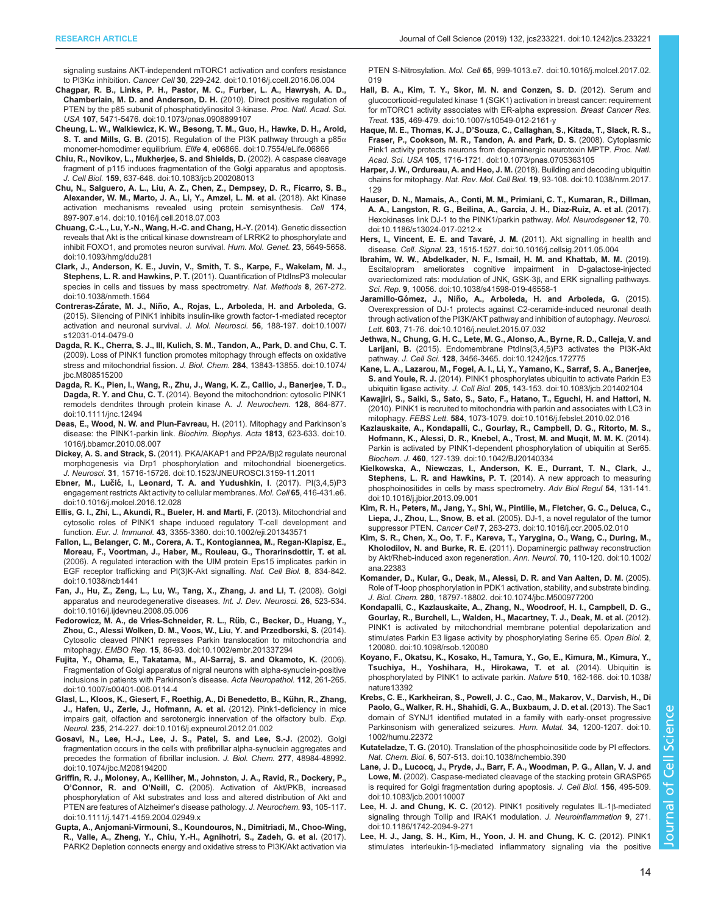<span id="page-13-0"></span>[signaling sustains AKT-independent mTORC1 activation and confers resistance](https://doi.org/10.1016/j.ccell.2016.06.004) to PI3Kα inhibition. Cancer Cell 30[, 229-242. doi:10.1016/j.ccell.2016.06.004](https://doi.org/10.1016/j.ccell.2016.06.004)

- [Chagpar, R. B., Links, P. H., Pastor, M. C., Furber, L. A., Hawrysh, A. D.,](https://doi.org/10.1073/pnas.0908899107) [Chamberlain, M. D. and Anderson, D. H.](https://doi.org/10.1073/pnas.0908899107) (2010). Direct positive regulation of [PTEN by the p85 subunit of phosphatidylinositol 3-kinase.](https://doi.org/10.1073/pnas.0908899107) Proc. Natl. Acad. Sci. USA 107[, 5471-5476. doi:10.1073/pnas.0908899107](https://doi.org/10.1073/pnas.0908899107)
- [Cheung, L. W., Walkiewicz, K. W., Besong, T. M., Guo, H., Hawke, D. H., Arold,](https://doi.org/10.7554/eLife.06866) S. T. and Mills, G. B. (2015). Regulation of the PI3K pathway through a  $p85\alpha$ monomer-homodimer equilibrium. Elife 4[, e06866. doi:10.7554/eLife.06866](https://doi.org/10.7554/eLife.06866)
- [Chiu, R., Novikov, L., Mukherjee, S. and Shields, D.](https://doi.org/10.1083/jcb.200208013) (2002). A caspase cleavage [fragment of p115 induces fragmentation of the Golgi apparatus and apoptosis.](https://doi.org/10.1083/jcb.200208013) J. Cell Biol. 159[, 637-648. doi:10.1083/jcb.200208013](https://doi.org/10.1083/jcb.200208013)
- [Chu, N., Salguero, A. L., Liu, A. Z., Chen, Z., Dempsey, D. R., Ficarro, S. B.,](https://doi.org/10.1016/j.cell.2018.07.003) [Alexander, W. M., Marto, J. A., Li, Y., Amzel, L. M. et al.](https://doi.org/10.1016/j.cell.2018.07.003) (2018). Akt Kinase [activation mechanisms revealed using protein semisynthesis.](https://doi.org/10.1016/j.cell.2018.07.003) Cell 174, [897-907.e14. doi:10.1016/j.cell.2018.07.003](https://doi.org/10.1016/j.cell.2018.07.003)
- [Chuang, C.-L., Lu, Y.-N., Wang, H.-C. and Chang, H.-Y.](https://doi.org/10.1093/hmg/ddu281) (2014). Genetic dissection [reveals that Akt is the critical kinase downstream of LRRK2 to phosphorylate and](https://doi.org/10.1093/hmg/ddu281) inhibit FOXO1, and promotes neuron survival, Hum. Mol. Genet. 23, 5649-5658. [doi:10.1093/hmg/ddu281](https://doi.org/10.1093/hmg/ddu281)
- [Clark, J., Anderson, K. E., Juvin, V., Smith, T. S., Karpe, F., Wakelam, M. J.,](https://doi.org/10.1038/nmeth.1564) Stephens, L. R. and Hawkins, P. T. [\(2011\). Quantification of PtdInsP3 molecular](https://doi.org/10.1038/nmeth.1564) [species in cells and tissues by mass spectrometry.](https://doi.org/10.1038/nmeth.1564) Nat. Methods 8, 267-272. [doi:10.1038/nmeth.1564](https://doi.org/10.1038/nmeth.1564)
- Contreras-Zárate, M. J., Niñ[o, A., Rojas, L., Arboleda, H. and Arboleda, G.](https://doi.org/10.1007/s12031-014-0479-0) [\(2015\). Silencing of PINK1 inhibits insulin-like growth factor-1-mediated receptor](https://doi.org/10.1007/s12031-014-0479-0) [activation and neuronal survival.](https://doi.org/10.1007/s12031-014-0479-0) J. Mol. Neurosci. 56, 188-197. doi:10.1007/ [s12031-014-0479-0](https://doi.org/10.1007/s12031-014-0479-0)
- [Dagda, R. K., Cherra, S. J., III, Kulich, S. M., Tandon, A., Park, D. and Chu, C. T.](https://doi.org/10.1074/jbc.M808515200) [\(2009\). Loss of PINK1 function promotes mitophagy through effects on oxidative](https://doi.org/10.1074/jbc.M808515200) [stress and mitochondrial fission.](https://doi.org/10.1074/jbc.M808515200) J. Biol. Chem. 284, 13843-13855. doi:10.1074/ [jbc.M808515200](https://doi.org/10.1074/jbc.M808515200)
- [Dagda, R. K., Pien, I., Wang, R., Zhu, J., Wang, K. Z., Callio, J., Banerjee, T. D.,](https://doi.org/10.1111/jnc.12494) Dagda, R. Y. and Chu, C. T. [\(2014\). Beyond the mitochondrion: cytosolic PINK1](https://doi.org/10.1111/jnc.12494) [remodels dendrites through protein kinase A.](https://doi.org/10.1111/jnc.12494) J. Neurochem. 128, 864-877. [doi:10.1111/jnc.12494](https://doi.org/10.1111/jnc.12494)
- [Deas, E., Wood, N. W. and Plun-Favreau, H.](https://doi.org/10.1016/j.bbamcr.2010.08.007) (2011). Mitophagy and Parkinson's [disease: the PINK1-parkin link.](https://doi.org/10.1016/j.bbamcr.2010.08.007) Biochim. Biophys. Acta 1813, 623-633. doi:10. [1016/j.bbamcr.2010.08.007](https://doi.org/10.1016/j.bbamcr.2010.08.007)
- Dickey, A. S. and Strack, S. [\(2011\). PKA/AKAP1 and PP2A/B](https://doi.org/10.1523/JNEUROSCI.3159-11.2011)B2 regulate neuronal [morphogenesis via Drp1 phosphorylation and mitochondrial bioenergetics.](https://doi.org/10.1523/JNEUROSCI.3159-11.2011) J. Neurosci. 31[, 15716-15726. doi:10.1523/JNEUROSCI.3159-11.2011](https://doi.org/10.1523/JNEUROSCI.3159-11.2011)
- Ebner, M., Lučić[, I., Leonard, T. A. and Yudushkin, I](https://doi.org/10.1016/j.molcel.2016.12.028). (2017). PI(3,4,5)P3 [engagement restricts Akt activity to cellular membranes.](https://doi.org/10.1016/j.molcel.2016.12.028) Mol. Cell 65, 416-431.e6. [doi:10.1016/j.molcel.2016.12.028](https://doi.org/10.1016/j.molcel.2016.12.028)
- [Ellis, G. I., Zhi, L., Akundi, R., Bueler, H. and Marti, F.](https://doi.org/10.1002/eji.201343571) (2013). Mitochondrial and [cytosolic roles of PINK1 shape induced regulatory T-cell development and](https://doi.org/10.1002/eji.201343571) function. Eur. J. Immunol. 43[, 3355-3360. doi:10.1002/eji.201343571](https://doi.org/10.1002/eji.201343571)
- [Fallon, L., Belanger, C. M., Corera, A. T., Kontogiannea, M., Regan-Klapisz, E.,](https://doi.org/10.1038/ncb1441) [Moreau, F., Voortman, J., Haber, M., Rouleau, G., Thorarinsdottir, T. et al.](https://doi.org/10.1038/ncb1441) [\(2006\). A regulated interaction with the UIM protein Eps15 implicates parkin in](https://doi.org/10.1038/ncb1441) [EGF receptor trafficking and PI\(3\)K-Akt signalling.](https://doi.org/10.1038/ncb1441) Nat. Cell Biol. 8, 834-842. [doi:10.1038/ncb1441](https://doi.org/10.1038/ncb1441)
- [Fan, J., Hu, Z., Zeng, L., Lu, W., Tang, X., Zhang, J. and Li, T.](https://doi.org/10.1016/j.ijdevneu.2008.05.006) (2008). Golgi [apparatus and neurodegenerative diseases.](https://doi.org/10.1016/j.ijdevneu.2008.05.006) Int. J. Dev. Neurosci. 26, 523-534. [doi:10.1016/j.ijdevneu.2008.05.006](https://doi.org/10.1016/j.ijdevneu.2008.05.006)
- [Fedorowicz, M. A., de Vries-Schneider, R. L., Ru](https://doi.org/10.1002/embr.201337294)̈b, C., Becker, D., Huang, Y., [Zhou, C., Alessi Wolken, D. M., Voos, W., Liu, Y. and Przedborski, S.](https://doi.org/10.1002/embr.201337294) (2014). [Cytosolic cleaved PINK1 represses Parkin translocation to mitochondria and](https://doi.org/10.1002/embr.201337294) mitophagy. EMBO Rep. 15[, 86-93. doi:10.1002/embr.201337294](https://doi.org/10.1002/embr.201337294)
- [Fujita, Y., Ohama, E., Takatama, M., Al-Sarraj, S. and Okamoto, K.](https://doi.org/10.1007/s00401-006-0114-4) (2006). [Fragmentation of Golgi apparatus of nigral neurons with alpha-synuclein-positive](https://doi.org/10.1007/s00401-006-0114-4) [inclusions in patients with Parkinson](https://doi.org/10.1007/s00401-006-0114-4)'s disease. Acta Neuropathol. 112, 261-265. [doi:10.1007/s00401-006-0114-4](https://doi.org/10.1007/s00401-006-0114-4)
- [Glasl, L., Kloos, K., Giesert, F., Roethig, A., Di Benedetto, B., Ku](https://doi.org/10.1016/j.expneurol.2012.01.002)̈hn, R., Zhang, [J., Hafen, U., Zerle, J., Hofmann, A. et al.](https://doi.org/10.1016/j.expneurol.2012.01.002) (2012). Pink1-deficiency in mice [impairs gait, olfaction and serotonergic innervation of the olfactory bulb.](https://doi.org/10.1016/j.expneurol.2012.01.002) Exp. Neurol. 235[, 214-227. doi:10.1016/j.expneurol.2012.01.002](https://doi.org/10.1016/j.expneurol.2012.01.002)
- [Gosavi, N., Lee, H.-J., Lee, J. S., Patel, S. and Lee, S.-J.](https://doi.org/10.1074/jbc.M208194200) (2002). Golgi [fragmentation occurs in the cells with prefibrillar alpha-synuclein aggregates and](https://doi.org/10.1074/jbc.M208194200) [precedes the formation of fibrillar inclusion.](https://doi.org/10.1074/jbc.M208194200) J. Biol. Chem. 277, 48984-48992. [doi:10.1074/jbc.M208194200](https://doi.org/10.1074/jbc.M208194200)
- [Griffin, R. J., Moloney, A., Kelliher, M., Johnston, J. A., Ravid, R., Dockery, P.,](https://doi.org/10.1111/j.1471-4159.2004.02949.x) O'Connor, R. and O'Neill, C. [\(2005\). Activation of Akt/PKB, increased](https://doi.org/10.1111/j.1471-4159.2004.02949.x) [phosphorylation of Akt substrates and loss and altered distribution of Akt and](https://doi.org/10.1111/j.1471-4159.2004.02949.x) [PTEN are features of Alzheimer](https://doi.org/10.1111/j.1471-4159.2004.02949.x)'s disease pathology. J. Neurochem. 93, 105-117. [doi:10.1111/j.1471-4159.2004.02949.x](https://doi.org/10.1111/j.1471-4159.2004.02949.x)
- [Gupta, A., Anjomani-Virmouni, S., Koundouros, N., Dimitriadi, M., Choo-Wing,](https://doi.org/10.1016/j.molcel.2017.02.019) [R., Valle, A., Zheng, Y., Chiu, Y.-H., Agnihotri, S., Zadeh, G. et al.](https://doi.org/10.1016/j.molcel.2017.02.019) (2017). [PARK2 Depletion connects energy and oxidative stress to PI3K/Akt activation via](https://doi.org/10.1016/j.molcel.2017.02.019)

PTEN S-Nitrosylation. Mol. Cell 65[, 999-1013.e7. doi:10.1016/j.molcel.2017.02.](https://doi.org/10.1016/j.molcel.2017.02.019) [019](https://doi.org/10.1016/j.molcel.2017.02.019)

- [Hall, B. A., Kim, T. Y., Skor, M. N. and Conzen, S. D.](https://doi.org/10.1007/s10549-012-2161-y) (2012). Serum and [glucocorticoid-regulated kinase 1 \(SGK1\) activation in breast cancer: requirement](https://doi.org/10.1007/s10549-012-2161-y) [for mTORC1 activity associates with ER-alpha expression.](https://doi.org/10.1007/s10549-012-2161-y) Breast Cancer Res. Treat. 135[, 469-479. doi:10.1007/s10549-012-2161-y](https://doi.org/10.1007/s10549-012-2161-y)
- Haque, M. E., Thomas, K. J., D'[Souza, C., Callaghan, S., Kitada, T., Slack, R. S.,](https://doi.org/10.1073/pnas.0705363105) [Fraser, P., Cookson, M. R., Tandon, A. and Park, D. S.](https://doi.org/10.1073/pnas.0705363105) (2008). Cytoplasmic [Pink1 activity protects neurons from dopaminergic neurotoxin MPTP.](https://doi.org/10.1073/pnas.0705363105) Proc. Natl. Acad. Sci. USA 105, [1716-1721. doi:10.1073/pnas.0705363105](https://doi.org/10.1073/pnas.0705363105)
- [Harper, J. W., Ordureau, A. and Heo, J. M.](https://doi.org/10.1038/nrm.2017.129) (2018). Building and decoding ubiquitin chains for mitophagy. Nat. Rev. Mol. Cell Biol. 19[, 93-108. doi:10.1038/nrm.2017.](https://doi.org/10.1038/nrm.2017.129) [129](https://doi.org/10.1038/nrm.2017.129)
- [Hauser, D. N., Mamais, A., Conti, M. M., Primiani, C. T., Kumaran, R., Dillman,](https://doi.org/10.1186/s13024-017-0212-x) [A. A., Langston, R. G., Beilina, A., Garcia, J. H., Diaz-Ruiz, A. et al.](https://doi.org/10.1186/s13024-017-0212-x) (2017). [Hexokinases link DJ-1 to the PINK1/parkin pathway.](https://doi.org/10.1186/s13024-017-0212-x) Mol. Neurodegener 12, 70. [doi:10.1186/s13024-017-0212-x](https://doi.org/10.1186/s13024-017-0212-x)
- Hers, I., Vincent, E. E. and Tavaré, J. M. (2011). Akt signalling in health and disease. Cell. Signal. 23[, 1515-1527. doi:10.1016/j.cellsig.2011.05.004](https://doi.org/10.1016/j.cellsig.2011.05.004)
- [Ibrahim, W. W., Abdelkader, N. F., Ismail, H. M. and Khattab, M. M.](https://doi.org/10.1038/s41598-019-46558-1) (2019). [Escitalopram ameliorates cognitive impairment in D-galactose-injected](https://doi.org/10.1038/s41598-019-46558-1) [ovariectomized rats: modulation of JNK, GSK-3](https://doi.org/10.1038/s41598-019-46558-1)β, and ERK signalling pathways. Sci. Rep. 9[, 10056. doi:10.1038/s41598-019-46558-1](https://doi.org/10.1038/s41598-019-46558-1)
- Jaramillo-Gómez, J., Niñ[o, A., Arboleda, H. and Arboleda, G.](https://doi.org/10.1016/j.neulet.2015.07.032) (2015). [Overexpression of DJ-1 protects against C2-ceramide-induced neuronal death](https://doi.org/10.1016/j.neulet.2015.07.032) [through activation of the PI3K/AKT pathway and inhibition of autophagy.](https://doi.org/10.1016/j.neulet.2015.07.032) Neurosci. Lett. 603[, 71-76. doi:10.1016/j.neulet.2015.07.032](https://doi.org/10.1016/j.neulet.2015.07.032)
- [Jethwa, N., Chung, G. H. C., Lete, M. G., Alonso, A., Byrne, R. D., Calleja, V. and](https://doi.org/10.1242/jcs.172775) Larijani, B. [\(2015\). Endomembrane PtdIns\(3,4,5\)P3 activates the PI3K-Akt](https://doi.org/10.1242/jcs.172775) pathway. J. Cell Sci. 128[, 3456-3465. doi:10.1242/jcs.172775](https://doi.org/10.1242/jcs.172775)
- [Kane, L. A., Lazarou, M., Fogel, A. I., Li, Y., Yamano, K., Sarraf, S. A., Banerjee,](https://doi.org/10.1083/jcb.201402104) S. and Youle, R. J. [\(2014\). PINK1 phosphorylates ubiquitin to activate Parkin E3](https://doi.org/10.1083/jcb.201402104) ubiquitin ligase activity. J. Cell Biol. 205[, 143-153. doi:10.1083/jcb.201402104](https://doi.org/10.1083/jcb.201402104)
- [Kawajiri, S., Saiki, S., Sato, S., Sato, F., Hatano, T., Eguchi, H. and Hattori, N.](https://doi.org/10.1016/j.febslet.2010.02.016) [\(2010\). PINK1 is recruited to mitochondria with parkin and associates with LC3 in](https://doi.org/10.1016/j.febslet.2010.02.016) mitophagy. FEBS Lett. 584[, 1073-1079. doi:10.1016/j.febslet.2010.02.016](https://doi.org/10.1016/j.febslet.2010.02.016)
- [Kazlauskaite, A., Kondapalli, C., Gourlay, R., Campbell, D. G., Ritorto, M. S.,](https://doi.org/10.1042/BJ20140334) [Hofmann, K., Alessi, D. R., Knebel, A., Trost, M. and Muqit, M. M. K.](https://doi.org/10.1042/BJ20140334) (2014). [Parkin is activated by PINK1-dependent phosphorylation of ubiquitin at Ser65.](https://doi.org/10.1042/BJ20140334) Biochem. J. 460[, 127-139. doi:10.1042/BJ20140334](https://doi.org/10.1042/BJ20140334)
- [Kielkowska, A., Niewczas, I., Anderson, K. E., Durrant, T. N., Clark, J.,](https://doi.org/10.1016/j.jbior.2013.09.001) Stephens, L. R. and Hawkins, P. T. [\(2014\). A new approach to measuring](https://doi.org/10.1016/j.jbior.2013.09.001) [phosphoinositides in cells by mass spectrometry.](https://doi.org/10.1016/j.jbior.2013.09.001) Adv Biol Regul 54, 131-141. [doi:10.1016/j.jbior.2013.09.001](https://doi.org/10.1016/j.jbior.2013.09.001)
- [Kim, R. H., Peters, M., Jang, Y., Shi, W., Pintilie, M., Fletcher, G. C., Deluca, C.,](https://doi.org/10.1016/j.ccr.2005.02.010) Liepa, J., Zhou, L., Snow, B. et al. [\(2005\). DJ-1, a novel regulator of the tumor](https://doi.org/10.1016/j.ccr.2005.02.010) suppressor PTEN. Cancer Cell 7[, 263-273. doi:10.1016/j.ccr.2005.02.010](https://doi.org/10.1016/j.ccr.2005.02.010)
- [Kim, S. R., Chen, X., Oo, T. F., Kareva, T., Yarygina, O., Wang, C., During, M.,](https://doi.org/10.1002/ana.22383) Kholodilov, N. and Burke, R. E. [\(2011\). Dopaminergic pathway reconstruction](https://doi.org/10.1002/ana.22383) [by Akt/Rheb-induced axon regeneration.](https://doi.org/10.1002/ana.22383) Ann. Neurol. 70, 110-120. doi:10.1002/ [ana.22383](https://doi.org/10.1002/ana.22383)
- [Komander, D., Kular, G., Deak, M., Alessi, D. R. and Van Aalten, D. M.](https://doi.org/10.1074/jbc.M500977200) (2005). [Role of T-loop phosphorylation in PDK1 activation, stability, and substrate binding.](https://doi.org/10.1074/jbc.M500977200) J. Biol. Chem. 280[, 18797-18802. doi:10.1074/jbc.M500977200](https://doi.org/10.1074/jbc.M500977200)
- [Kondapalli, C., Kazlauskaite, A., Zhang, N., Woodroof, H. I., Campbell, D. G.,](https://doi.org/10.1098/rsob.120080) [Gourlay, R., Burchell, L., Walden, H., Macartney, T. J., Deak, M. et al.](https://doi.org/10.1098/rsob.120080) (2012). [PINK1 is activated by mitochondrial membrane potential depolarization and](https://doi.org/10.1098/rsob.120080) [stimulates Parkin E3 ligase activity by phosphorylating Serine 65.](https://doi.org/10.1098/rsob.120080) Open Biol. 2, [120080. doi:10.1098/rsob.120080](https://doi.org/10.1098/rsob.120080)
- [Koyano, F., Okatsu, K., Kosako, H., Tamura, Y., Go, E., Kimura, M., Kimura, Y.,](https://doi.org/10.1038/nature13392) [Tsuchiya, H., Yoshihara, H., Hirokawa, T. et al.](https://doi.org/10.1038/nature13392) (2014). Ubiquitin is [phosphorylated by PINK1 to activate parkin.](https://doi.org/10.1038/nature13392) Nature 510, 162-166. doi:10.1038/ [nature13392](https://doi.org/10.1038/nature13392)
- [Krebs, C. E., Karkheiran, S., Powell, J. C., Cao, M., Makarov, V., Darvish, H., Di](https://doi.org/10.1002/humu.22372) [Paolo, G., Walker, R. H., Shahidi, G. A., Buxbaum, J. D. et al.](https://doi.org/10.1002/humu.22372) (2013). The Sac1 [domain of SYNJ1 identified mutated in a family with early-onset progressive](https://doi.org/10.1002/humu.22372) [Parkinsonism with generalized seizures.](https://doi.org/10.1002/humu.22372) Hum. Mutat. 34, 1200-1207. doi:10. [1002/humu.22372](https://doi.org/10.1002/humu.22372)
- Kutateladze, T. G. [\(2010\). Translation of the phosphoinositide code by PI effectors.](https://doi.org/10.1038/nchembio.390) Nat. Chem. Biol. 6[, 507-513. doi:10.1038/nchembio.390](https://doi.org/10.1038/nchembio.390)
- [Lane, J. D., Lucocq, J., Pryde, J., Barr, F. A., Woodman, P. G., Allan, V. J. and](https://doi.org/10.1083/jcb.200110007) Lowe, M. [\(2002\). Caspase-mediated cleavage of the stacking protein GRASP65](https://doi.org/10.1083/jcb.200110007) [is required for Golgi fragmentation during apoptosis.](https://doi.org/10.1083/jcb.200110007) J. Cell Biol. 156, 495-509. [doi:10.1083/jcb.200110007](https://doi.org/10.1083/jcb.200110007)
- Lee, H. J. and Chung, K. C. [\(2012\). PINK1 positively regulates IL-1](https://doi.org/10.1186/1742-2094-9-271)β-mediated [signaling through Tollip and IRAK1 modulation.](https://doi.org/10.1186/1742-2094-9-271) J. Neuroinflammation 9, 271. [doi:10.1186/1742-2094-9-271](https://doi.org/10.1186/1742-2094-9-271)
- [Lee, H. J., Jang, S. H., Kim, H., Yoon, J. H. and Chung, K. C.](https://doi.org/10.1007/s00018-012-1004-7) (2012). PINK1 stimulates interleukin-1β[-mediated inflammatory signaling via the positive](https://doi.org/10.1007/s00018-012-1004-7)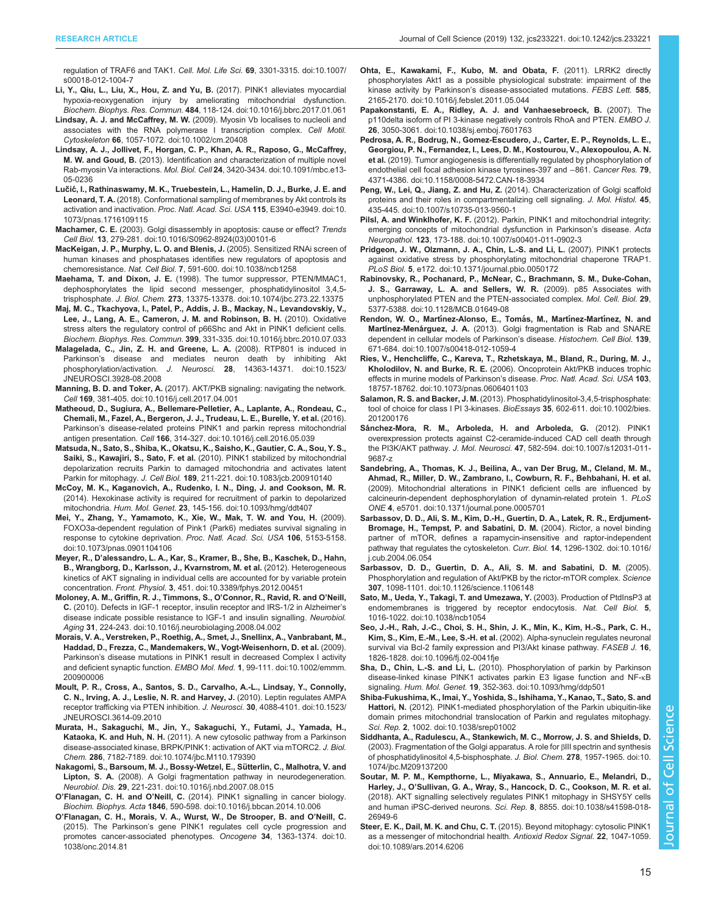- <span id="page-14-0"></span>[s00018-012-1004-7](https://doi.org/10.1007/s00018-012-1004-7) [Li, Y., Qiu, L., Liu, X., Hou, Z. and Yu, B.](https://doi.org/10.1016/j.bbrc.2017.01.061) (2017). PINK1 alleviates myocardial [hypoxia-reoxygenation injury by ameliorating mitochondrial dysfunction.](https://doi.org/10.1016/j.bbrc.2017.01.061)
- Biochem. Biophys. Res. Commun. 484[, 118-124. doi:10.1016/j.bbrc.2017.01.061](https://doi.org/10.1016/j.bbrc.2017.01.061) Lindsay, A. J. and McCaffrey, M. W. [\(2009\). Myosin Vb localises to nucleoli and](https://doi.org/10.1002/cm.20408) [associates with the RNA polymerase I transcription complex.](https://doi.org/10.1002/cm.20408) Cell Motil. Cytoskeleton 66[, 1057-1072. doi:10.1002/cm.20408](https://doi.org/10.1002/cm.20408)
- [Lindsay, A. J., Jollivet, F., Horgan, C. P., Khan, A. R., Raposo, G., McCaffrey,](https://doi.org/10.1091/mbc.e13-05-0236) M. W. and Goud, B. [\(2013\). Identification and characterization of multiple novel](https://doi.org/10.1091/mbc.e13-05-0236) Rab-myosin Va interactions. Mol. Biol. Cell 24[, 3420-3434. doi:10.1091/mbc.e13-](https://doi.org/10.1091/mbc.e13-05-0236) [05-0236](https://doi.org/10.1091/mbc.e13-05-0236)
- Lučić[, I., Rathinaswamy, M. K., Truebestein, L., Hamelin, D. J., Burke, J. E. and](https://doi.org/10.1073/pnas.1716109115) Leonard, T. A. [\(2018\). Conformational sampling of membranes by Akt controls its](https://doi.org/10.1073/pnas.1716109115) [activation and inactivation.](https://doi.org/10.1073/pnas.1716109115) Proc. Natl. Acad. Sci. USA 115, E3940-e3949. doi:10. [1073/pnas.1716109115](https://doi.org/10.1073/pnas.1716109115)
- Machamer, C. E. [\(2003\). Golgi disassembly in apoptosis: cause or effect?](https://doi.org/10.1016/S0962-8924(03)00101-6) Trends Cell Biol. 13[, 279-281. doi:10.1016/S0962-8924\(03\)00101-6](https://doi.org/10.1016/S0962-8924(03)00101-6)
- [MacKeigan, J. P., Murphy, L. O. and Blenis, J.](https://doi.org/10.1038/ncb1258) (2005). Sensitized RNAi screen of [human kinases and phosphatases identifies new regulators of apoptosis and](https://doi.org/10.1038/ncb1258) chemoresistance. Nat. Cell Biol. 7[, 591-600. doi:10.1038/ncb1258](https://doi.org/10.1038/ncb1258)
- Maehama, T. and Dixon, J. E. [\(1998\). The tumor suppressor, PTEN/MMAC1,](https://doi.org/10.1074/jbc.273.22.13375) [dephosphorylates the lipid second messenger, phosphatidylinositol 3,4,5](https://doi.org/10.1074/jbc.273.22.13375) trisphosphate. J. Biol. Chem. 273[, 13375-13378. doi:10.1074/jbc.273.22.13375](https://doi.org/10.1074/jbc.273.22.13375)
- [Maj, M. C., Tkachyova, I., Patel, P., Addis, J. B., Mackay, N., Levandovskiy, V.,](https://doi.org/10.1016/j.bbrc.2010.07.033) [Lee, J., Lang, A. E., Cameron, J. M. and Robinson, B. H.](https://doi.org/10.1016/j.bbrc.2010.07.033) (2010). Oxidative [stress alters the regulatory control of p66Shc and Akt in PINK1 deficient cells.](https://doi.org/10.1016/j.bbrc.2010.07.033) Biochem. Biophys. Res. Commun. 399[, 331-335. doi:10.1016/j.bbrc.2010.07.033](https://doi.org/10.1016/j.bbrc.2010.07.033)
- [Malagelada, C., Jin, Z. H. and Greene, L. A.](https://doi.org/10.1523/JNEUROSCI.3928-08.2008) (2008). RTP801 is induced in Parkinson'[s disease and mediates neuron death by inhibiting Akt](https://doi.org/10.1523/JNEUROSCI.3928-08.2008) phosphorylation/activation. J. Neurosci. 28[, 14363-14371. doi:10.1523/](https://doi.org/10.1523/JNEUROSCI.3928-08.2008) [JNEUROSCI.3928-08.2008](https://doi.org/10.1523/JNEUROSCI.3928-08.2008)
- Manning, B. D. and Toker, A. [\(2017\). AKT/PKB signaling: navigating the network.](https://doi.org/10.1016/j.cell.2017.04.001) Cell 169[, 381-405. doi:10.1016/j.cell.2017.04.001](https://doi.org/10.1016/j.cell.2017.04.001)
- [Matheoud, D., Sugiura, A., Bellemare-Pelletier, A., Laplante, A., Rondeau, C.,](https://doi.org/10.1016/j.cell.2016.05.039) [Chemali, M., Fazel, A., Bergeron, J. J., Trudeau, L. E., Burelle, Y. et al.](https://doi.org/10.1016/j.cell.2016.05.039) (2016). Parkinson'[s disease-related proteins PINK1 and parkin repress mitochondrial](https://doi.org/10.1016/j.cell.2016.05.039) antigen presentation. Cell 166[, 314-327. doi:10.1016/j.cell.2016.05.039](https://doi.org/10.1016/j.cell.2016.05.039)
- [Matsuda, N., Sato, S., Shiba, K., Okatsu, K., Saisho, K., Gautier, C. A., Sou, Y. S.,](https://doi.org/10.1083/jcb.200910140) Saiki, S., Kawajiri, S., Sato, F. et al. [\(2010\). PINK1 stabilized by mitochondrial](https://doi.org/10.1083/jcb.200910140) [depolarization recruits Parkin to damaged mitochondria and activates latent](https://doi.org/10.1083/jcb.200910140) Parkin for mitophagy. J. Cell Biol. 189[, 211-221. doi:10.1083/jcb.200910140](https://doi.org/10.1083/jcb.200910140)
- [McCoy, M. K., Kaganovich, A., Rudenko, I. N., Ding, J. and Cookson, M. R.](https://doi.org/10.1093/hmg/ddt407) [\(2014\). Hexokinase activity is required for recruitment of parkin to depolarized](https://doi.org/10.1093/hmg/ddt407) mitochondria. Hum. Mol. Genet. 23[, 145-156. doi:10.1093/hmg/ddt407](https://doi.org/10.1093/hmg/ddt407)
- [Mei, Y., Zhang, Y., Yamamoto, K., Xie, W., Mak, T. W. and You, H.](https://doi.org/10.1073/pnas.0901104106) (2009). [FOXO3a-dependent regulation of Pink1 \(Park6\) mediates survival signaling in](https://doi.org/10.1073/pnas.0901104106) [response to cytokine deprivation.](https://doi.org/10.1073/pnas.0901104106) Proc. Natl. Acad. Sci. USA 106, 5153-5158. [doi:10.1073/pnas.0901104106](https://doi.org/10.1073/pnas.0901104106)
- Meyer, R., D'[alessandro, L. A., Kar, S., Kramer, B., She, B., Kaschek, D., Hahn,](https://doi.org/10.3389/fphys.2012.00451) [B., Wrangborg, D., Karlsson, J., Kvarnstrom, M. et al.](https://doi.org/10.3389/fphys.2012.00451) (2012). Heterogeneous [kinetics of AKT signaling in individual cells are accounted for by variable protein](https://doi.org/10.3389/fphys.2012.00451) concentration. Front. Physiol. 3[, 451. doi:10.3389/fphys.2012.00451](https://doi.org/10.3389/fphys.2012.00451)
- [Moloney, A. M., Griffin, R. J., Timmons, S., O](https://doi.org/10.1016/j.neurobiolaging.2008.04.002)'Connor, R., Ravid, R. and O'Neill, C. [\(2010\). Defects in IGF-1 receptor, insulin receptor and IRS-1/2 in Alzheimer](https://doi.org/10.1016/j.neurobiolaging.2008.04.002)'s [disease indicate possible resistance to IGF-1 and insulin signalling.](https://doi.org/10.1016/j.neurobiolaging.2008.04.002) Neurobiol. Aging 31[, 224-243. doi:10.1016/j.neurobiolaging.2008.04.002](https://doi.org/10.1016/j.neurobiolaging.2008.04.002)
- [Morais, V. A., Verstreken, P., Roethig, A., Smet, J., Snellinx, A., Vanbrabant, M.,](https://doi.org/10.1002/emmm.200900006) [Haddad, D., Frezza, C., Mandemakers, W., Vogt-Weisenhorn, D. et al.](https://doi.org/10.1002/emmm.200900006) (2009). Parkinson'[s disease mutations in PINK1 result in decreased Complex I activity](https://doi.org/10.1002/emmm.200900006) [and deficient synaptic function.](https://doi.org/10.1002/emmm.200900006) EMBO Mol. Med. 1, 99-111. doi:10.1002/emmm. [200900006](https://doi.org/10.1002/emmm.200900006)
- [Moult, P. R., Cross, A., Santos, S. D., Carvalho, A.-L., Lindsay, Y., Connolly,](https://doi.org/10.1523/JNEUROSCI.3614-09.2010) [C. N., Irving, A. J., Leslie, N. R. and Harvey, J.](https://doi.org/10.1523/JNEUROSCI.3614-09.2010) (2010). Leptin regulates AMPA [receptor trafficking via PTEN inhibition.](https://doi.org/10.1523/JNEUROSCI.3614-09.2010) J. Neurosci. 30, 4088-4101. doi:10.1523/ [JNEUROSCI.3614-09.2010](https://doi.org/10.1523/JNEUROSCI.3614-09.2010)
- [Murata, H., Sakaguchi, M., Jin, Y., Sakaguchi, Y., Futami, J., Yamada, H.,](https://doi.org/10.1074/jbc.M110.179390) Kataoka, K. and Huh, N. H. [\(2011\). A new cytosolic pathway from a Parkinson](https://doi.org/10.1074/jbc.M110.179390) [disease-associated kinase, BRPK/PINK1: activation of AKT via mTORC2.](https://doi.org/10.1074/jbc.M110.179390) J. Biol. Chem. 286[, 7182-7189. doi:10.1074/jbc.M110.179390](https://doi.org/10.1074/jbc.M110.179390)
- [Nakagomi, S., Barsoum, M. J., Bossy-Wetzel, E., Su](https://doi.org/10.1016/j.nbd.2007.08.015)̈tterlin, C., Malhotra, V. and Lipton, S. A. [\(2008\). A Golgi fragmentation pathway in neurodegeneration.](https://doi.org/10.1016/j.nbd.2007.08.015) Neurobiol. Dis. 29[, 221-231. doi:10.1016/j.nbd.2007.08.015](https://doi.org/10.1016/j.nbd.2007.08.015)
- O'Flanagan, C. H. and O'Neill, C. [\(2014\). PINK1 signalling in cancer biology.](https://doi.org/10.1016/j.bbcan.2014.10.006) Biochim. Biophys. Acta 1846[, 590-598. doi:10.1016/j.bbcan.2014.10.006](https://doi.org/10.1016/j.bbcan.2014.10.006)
- O'[Flanagan, C. H., Morais, V. A., Wurst, W., De Strooper, B. and O](https://doi.org/10.1038/onc.2014.81)'Neill, C. (2015). The Parkinson'[s gene PINK1 regulates cell cycle progression and](https://doi.org/10.1038/onc.2014.81) [promotes cancer-associated phenotypes.](https://doi.org/10.1038/onc.2014.81) Oncogene 34, 1363-1374. doi:10. [1038/onc.2014.81](https://doi.org/10.1038/onc.2014.81)
- [Ohta, E., Kawakami, F., Kubo, M. and Obata, F.](https://doi.org/10.1016/j.febslet.2011.05.044) (2011). LRRK2 directly [phosphorylates Akt1 as a possible physiological substrate: impairment of the](https://doi.org/10.1016/j.febslet.2011.05.044) kinase activity by Parkinson'[s disease-associated mutations.](https://doi.org/10.1016/j.febslet.2011.05.044) FEBS Lett. 585, [2165-2170. doi:10.1016/j.febslet.2011.05.044](https://doi.org/10.1016/j.febslet.2011.05.044)
- [Papakonstanti, E. A., Ridley, A. J. and Vanhaesebroeck, B.](https://doi.org/10.1038/sj.emboj.7601763) (2007). The [p110delta isoform of PI 3-kinase negatively controls RhoA and PTEN.](https://doi.org/10.1038/sj.emboj.7601763) EMBO J. 26[, 3050-3061. doi:10.1038/sj.emboj.7601763](https://doi.org/10.1038/sj.emboj.7601763)
- [Pedrosa, A. R., Bodrug, N., Gomez-Escudero, J., Carter, E. P., Reynolds, L. E.,](https://doi.org/10.1158/0008-5472.CAN-18-3934) Georgiou, [P. N., Fernandez, I., Lees, D. M., Kostourou, V., Alexopoulou, A. N.](https://doi.org/10.1158/0008-5472.CAN-18-3934) et al. [\(2019\). Tumor angiogenesis is differentially regulated by phosphorylation of](https://doi.org/10.1158/0008-5472.CAN-18-3934) [endothelial cell focal adhesion kinase tyrosines-397 and](https://doi.org/10.1158/0008-5472.CAN-18-3934) −861. Cancer Res. 79, [4371-4386. doi:10.1158/0008-5472.CAN-18-3934](https://doi.org/10.1158/0008-5472.CAN-18-3934)
- Peng, W., Lei, Q., Jiang, Z. and Hu, Z. [\(2014\). Characterization of Golgi scaffold](https://doi.org/10.1007/s10735-013-9560-1) [proteins and their roles in compartmentalizing cell signaling.](https://doi.org/10.1007/s10735-013-9560-1) J. Mol. Histol. 45, [435-445. doi:10.1007/s10735-013-9560-1](https://doi.org/10.1007/s10735-013-9560-1)
- Pilsl, A. and Winklhofer, K. F. [\(2012\). Parkin, PINK1 and mitochondrial integrity:](https://doi.org/10.1007/s00401-011-0902-3) [emerging concepts of mitochondrial dysfunction in Parkinson](https://doi.org/10.1007/s00401-011-0902-3)'s disease. Acta Neuropathol. 123[, 173-188. doi:10.1007/s00401-011-0902-3](https://doi.org/10.1007/s00401-011-0902-3)
- [Pridgeon, J. W., Olzmann, J. A., Chin, L.-S. and Li, L.](https://doi.org/10.1371/journal.pbio.0050172) (2007). PINK1 protects [against oxidative stress by phosphorylating mitochondrial chaperone TRAP1.](https://doi.org/10.1371/journal.pbio.0050172) PLoS Biol. 5[, e172. doi:10.1371/journal.pbio.0050172](https://doi.org/10.1371/journal.pbio.0050172)
- [Rabinovsky, R., Pochanard, P., McNear, C., Brachmann, S. M., Duke-Cohan,](https://doi.org/10.1128/MCB.01649-08) [J. S., Garraway, L. A. and Sellers, W. R.](https://doi.org/10.1128/MCB.01649-08) (2009). p85 Associates with [unphosphorylated PTEN and the PTEN-associated complex.](https://doi.org/10.1128/MCB.01649-08) Mol. Cell. Biol. 29, [5377-5388. doi:10.1128/MCB.01649-08](https://doi.org/10.1128/MCB.01649-08)
- Rendon, W. O., Martínez-Alonso, E., Tomás, M., Martínez-Martínez, N. and Martinez-Menárquez, J. A. [\(2013\). Golgi fragmentation is Rab and SNARE](https://doi.org/10.1007/s00418-012-1059-4) [dependent in cellular models of Parkinson](https://doi.org/10.1007/s00418-012-1059-4)'s disease. Histochem. Cell Biol. 139, [671-684. doi:10.1007/s00418-012-1059-4](https://doi.org/10.1007/s00418-012-1059-4)
- [Ries, V., Henchcliffe, C., Kareva, T., Rzhetskaya, M., Bland, R., During, M. J.,](https://doi.org/10.1073/pnas.0606401103) Kholodilov, N. and Burke, R. E. [\(2006\). Oncoprotein Akt/PKB induces trophic](https://doi.org/10.1073/pnas.0606401103) [effects in murine models of Parkinson](https://doi.org/10.1073/pnas.0606401103)'s disease. Proc. Natl. Acad. Sci. USA 103, [18757-18762. doi:10.1073/pnas.0606401103](https://doi.org/10.1073/pnas.0606401103)
- Salamon, R. S. and Backer, J. M. [\(2013\). Phosphatidylinositol-3,4,5-trisphosphate:](https://doi.org/10.1002/bies.201200176) [tool of choice for class I PI 3-kinases.](https://doi.org/10.1002/bies.201200176) BioEssays 35, 602-611. doi:10.1002/bies. [201200176](https://doi.org/10.1002/bies.201200176)
- Sá[nchez-Mora, R. M., Arboleda, H. and Arboleda, G.](https://doi.org/10.1007/s12031-011-9687-z) (2012). PINK1 [overexpression protects against C2-ceramide-induced CAD cell death through](https://doi.org/10.1007/s12031-011-9687-z) the PI3K/AKT pathway. J. Mol. Neurosci. 47[, 582-594. doi:10.1007/s12031-011-](https://doi.org/10.1007/s12031-011-9687-z) [9687-z](https://doi.org/10.1007/s12031-011-9687-z)
- [Sandebring, A., Thomas, K. J., Beilina, A., van Der Brug, M., Cleland, M. M.,](https://doi.org/10.1371/journal.pone.0005701) [Ahmad, R., Miller, D. W., Zambrano, I., Cowburn, R. F., Behbahani, H. et al.](https://doi.org/10.1371/journal.pone.0005701) [\(2009\). Mitochondrial alterations in PINK1 deficient cells are influenced by](https://doi.org/10.1371/journal.pone.0005701) [calcineurin-dependent dephosphorylation of dynamin-related protein 1.](https://doi.org/10.1371/journal.pone.0005701) PLoS ONE 4[, e5701. doi:10.1371/journal.pone.0005701](https://doi.org/10.1371/journal.pone.0005701)
- [Sarbassov, D. D., Ali, S. M., Kim, D.-H., Guertin, D. A., Latek, R. R., Erdjument-](https://doi.org/10.1016/j.cub.2004.06.054)[Bromage, H., Tempst, P. and Sabatini, D. M.](https://doi.org/10.1016/j.cub.2004.06.054) (2004). Rictor, a novel binding [partner of mTOR, defines a rapamycin-insensitive and raptor-independent](https://doi.org/10.1016/j.cub.2004.06.054) [pathway that regulates the cytoskeleton.](https://doi.org/10.1016/j.cub.2004.06.054) Curr. Biol. 14, 1296-1302. doi:10.1016/ [j.cub.2004.06.054](https://doi.org/10.1016/j.cub.2004.06.054)
- [Sarbassov, D. D., Guertin, D. A., Ali, S. M. and Sabatini, D. M.](https://doi.org/10.1126/science.1106148) (2005). [Phosphorylation and regulation of Akt/PKB by the rictor-mTOR complex.](https://doi.org/10.1126/science.1106148) Science 307[, 1098-1101. doi:10.1126/science.1106148](https://doi.org/10.1126/science.1106148)
- [Sato, M., Ueda, Y., Takagi, T. and Umezawa, Y.](https://doi.org/10.1038/ncb1054) (2003). Production of PtdInsP3 at [endomembranes is triggered by receptor endocytosis.](https://doi.org/10.1038/ncb1054) Nat. Cell Biol. 5, [1016-1022. doi:10.1038/ncb1054](https://doi.org/10.1038/ncb1054)
- [Seo, J.-H., Rah, J.-C., Choi, S. H., Shin, J. K., Min, K., Kim, H.-S., Park, C. H.,](https://doi.org/10.1096/fj.02-0041fje) Kim, S., Kim, E.-M., Lee, S.-H. et al. [\(2002\). Alpha-synuclein regulates neuronal](https://doi.org/10.1096/fj.02-0041fje) [survival via Bcl-2 family expression and PI3/Akt kinase pathway.](https://doi.org/10.1096/fj.02-0041fje) FASEB J. 16, [1826-1828. doi:10.1096/fj.02-0041fje](https://doi.org/10.1096/fj.02-0041fje)
- Sha, D., Chin, L.-S. and Li, L. [\(2010\). Phosphorylation of parkin by Parkinson](https://doi.org/10.1093/hmg/ddp501) [disease-linked kinase PINK1 activates parkin E3 ligase function and NF-](https://doi.org/10.1093/hmg/ddp501)κB signaling. Hum. Mol. Genet. 19[, 352-363. doi:10.1093/hmg/ddp501](https://doi.org/10.1093/hmg/ddp501)
- [Shiba-Fukushima, K., Imai, Y., Yoshida, S., Ishihama, Y., Kanao, T., Sato, S. and](https://doi.org/10.1038/srep01002) Hattori, N. [\(2012\). PINK1-mediated phosphorylation of the Parkin ubiquitin-like](https://doi.org/10.1038/srep01002) [domain primes mitochondrial translocation of Parkin and regulates mitophagy.](https://doi.org/10.1038/srep01002) Sci. Rep. 2[, 1002. doi:10.1038/srep01002](https://doi.org/10.1038/srep01002)
- [Siddhanta, A., Radulescu, A., Stankewich, M. C., Morrow, J. S. and Shields, D.](https://doi.org/10.1074/jbc.M209137200) [\(2003\). Fragmentation of the Golgi apparatus. A role for](https://doi.org/10.1074/jbc.M209137200) βIII spectrin and synthesis [of phosphatidylinositol 4,5-bisphosphate.](https://doi.org/10.1074/jbc.M209137200) J. Biol. Chem. 278, 1957-1965. doi:10. [1074/jbc.M209137200](https://doi.org/10.1074/jbc.M209137200)
- [Soutar, M. P. M., Kempthorne, L., Miyakawa, S., Annuario, E., Melandri, D.,](https://doi.org/10.1038/s41598-018-26949-6) Harley, J., O'[Sullivan, G. A., Wray, S., Hancock, D. C., Cookson, M. R. et al.](https://doi.org/10.1038/s41598-018-26949-6) [\(2018\). AKT signalling selectively regulates PINK1 mitophagy in SHSY5Y cells](https://doi.org/10.1038/s41598-018-26949-6) [and human iPSC-derived neurons.](https://doi.org/10.1038/s41598-018-26949-6) Sci. Rep. 8, 8855. doi:10.1038/s41598-018- [26949-6](https://doi.org/10.1038/s41598-018-26949-6)
- Steer, E. K., Dail, M. K. and Chu, C. T. [\(2015\). Beyond mitophagy: cytosolic PINK1](https://doi.org/10.1089/ars.2014.6206) [as a messenger of mitochondrial health.](https://doi.org/10.1089/ars.2014.6206) Antioxid Redox Signal. 22, 1047-1059. [doi:10.1089/ars.2014.6206](https://doi.org/10.1089/ars.2014.6206)